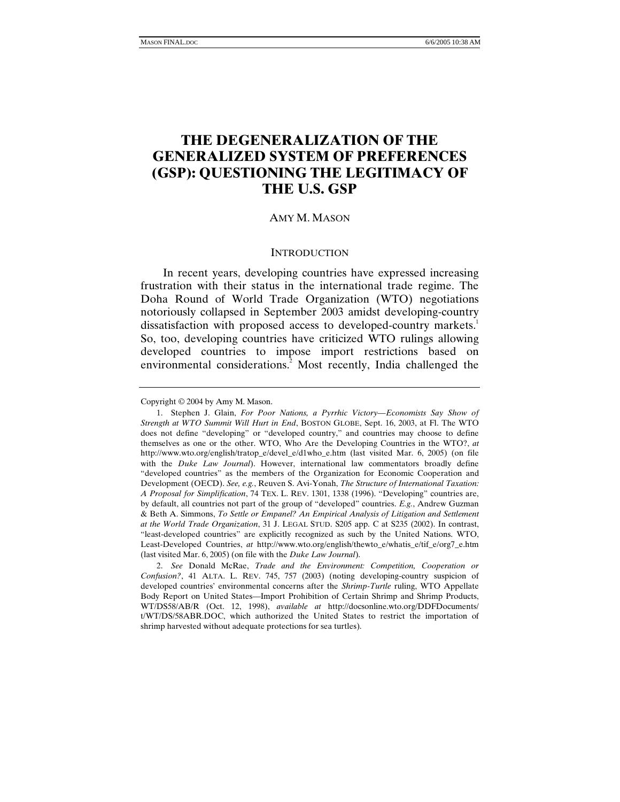# **THE DEGENERALIZATION OF THE GENERALIZED SYSTEM OF PREFERENCES (GSP): QUESTIONING THE LEGITIMACY OF THE U.S. GSP**

## AMY M. MASON

#### **INTRODUCTION**

In recent years, developing countries have expressed increasing frustration with their status in the international trade regime. The Doha Round of World Trade Organization (WTO) negotiations notoriously collapsed in September 2003 amidst developing-country dissatisfaction with proposed access to developed-country markets.<sup>1</sup> So, too, developing countries have criticized WTO rulings allowing developed countries to impose import restrictions based on environmental considerations.<sup>2</sup> Most recently, India challenged the

Copyright © 2004 by Amy M. Mason.

 <sup>1.</sup> Stephen J. Glain, *For Poor Nations, a Pyrrhic Victory—Economists Say Show of Strength at WTO Summit Will Hurt in End*, BOSTON GLOBE, Sept. 16, 2003, at Fl. The WTO does not define "developing" or "developed country," and countries may choose to define themselves as one or the other. WTO, Who Are the Developing Countries in the WTO?, *at* http://www.wto.org/english/tratop\_e/devel\_e/d1who\_e.htm (last visited Mar. 6, 2005) (on file with the *Duke Law Journal*). However, international law commentators broadly define "developed countries" as the members of the Organization for Economic Cooperation and Development (OECD). *See, e.g.*, Reuven S. Avi-Yonah, *The Structure of International Taxation: A Proposal for Simplification*, 74 TEX. L. REV. 1301, 1338 (1996). "Developing" countries are, by default, all countries not part of the group of "developed" countries. *E.g.*, Andrew Guzman & Beth A. Simmons, *To Settle or Empanel? An Empirical Analysis of Litigation and Settlement at the World Trade Organization*, 31 J. LEGAL STUD. S205 app. C at S235 (2002). In contrast, "least-developed countries" are explicitly recognized as such by the United Nations. WTO, Least-Developed Countries, *at* http://www.wto.org/english/thewto e/whatis e/tif e/org7 e.htm (last visited Mar. 6, 2005) (on file with the *Duke Law Journal*).

<sup>2.</sup> *See* Donald McRae, *Trade and the Environment: Competition, Cooperation or Confusion?*, 41 ALTA. L. REV. 745, 757 (2003) (noting developing-country suspicion of developed countries' environmental concerns after the *Shrimp-Turtle* ruling, WTO Appellate Body Report on United States—Import Prohibition of Certain Shrimp and Shrimp Products, WT/DS58/AB/R (Oct. 12, 1998), *available at* http://docsonline.wto.org/DDFDocuments/ t/WT/DS/58ABR.DOC, which authorized the United States to restrict the importation of shrimp harvested without adequate protections for sea turtles).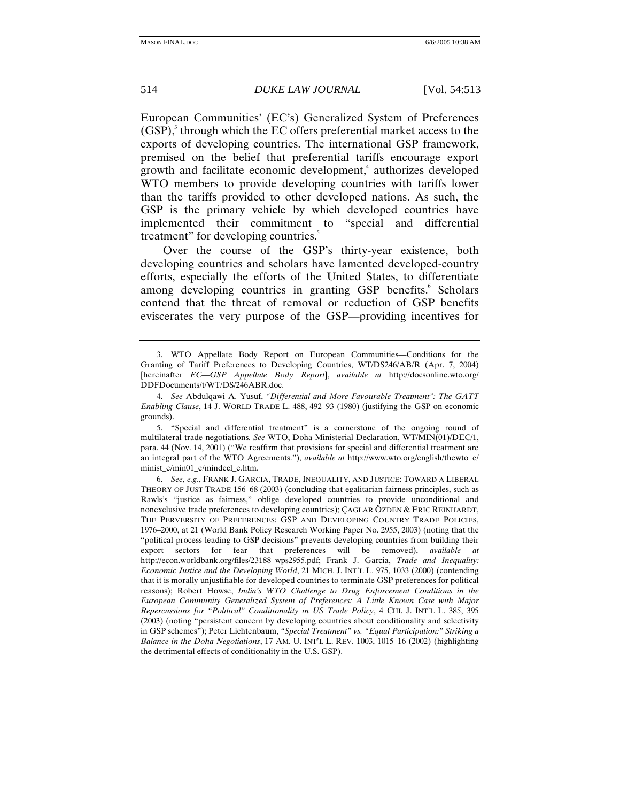European Communities' (EC's) Generalized System of Preferences  $(GSP)$ ,<sup>3</sup> through which the EC offers preferential market access to the exports of developing countries. The international GSP framework, premised on the belief that preferential tariffs encourage export growth and facilitate economic development,<sup>4</sup> authorizes developed WTO members to provide developing countries with tariffs lower than the tariffs provided to other developed nations. As such, the GSP is the primary vehicle by which developed countries have implemented their commitment to "special and differential treatment" for developing countries.<sup>5</sup>

Over the course of the GSP's thirty-year existence, both developing countries and scholars have lamented developed-country efforts, especially the efforts of the United States, to differentiate among developing countries in granting GSP benefits.<sup>6</sup> Scholars contend that the threat of removal or reduction of GSP benefits eviscerates the very purpose of the GSP—providing incentives for

 5. "Special and differential treatment" is a cornerstone of the ongoing round of multilateral trade negotiations. *See* WTO, Doha Ministerial Declaration, WT/MIN(01)/DEC/1, para. 44 (Nov. 14, 2001) ("We reaffirm that provisions for special and differential treatment are an integral part of the WTO Agreements."), *available at* http://www.wto.org/english/thewto\_e/ minist\_e/min01\_e/mindecl\_e.htm.

6. *See, e.g.*, FRANK J. GARCIA, TRADE, INEQUALITY, AND JUSTICE: TOWARD A LIBERAL THEORY OF JUST TRADE 156–68 (2003) (concluding that egalitarian fairness principles, such as Rawls's "justice as fairness," oblige developed countries to provide unconditional and nonexclusive trade preferences to developing countries); ÇAGLAR ÖZDEN & ERIC REINHARDT, THE PERVERSITY OF PREFERENCES: GSP AND DEVELOPING COUNTRY TRADE POLICIES, 1976–2000, at 21 (World Bank Policy Research Working Paper No. 2955, 2003) (noting that the "political process leading to GSP decisions" prevents developing countries from building their export sectors for fear that preferences will be removed), *available at*  http://econ.worldbank.org/files/23188\_wps2955.pdf; Frank J. Garcia, *Trade and Inequality: Economic Justice and the Developing World*, 21 MICH. J. INT'L L. 975, 1033 (2000) (contending that it is morally unjustifiable for developed countries to terminate GSP preferences for political reasons); Robert Howse, *India's WTO Challenge to Drug Enforcement Conditions in the European Community Generalized System of Preferences: A Little Known Case with Major Repercussions for "Political" Conditionality in US Trade Policy*, 4 CHI. J. INT'L L. 385, 395 (2003) (noting "persistent concern by developing countries about conditionality and selectivity in GSP schemes"); Peter Lichtenbaum, *"Special Treatment" vs. "Equal Participation:" Striking a Balance in the Doha Negotiations*, 17 AM. U. INT'L L. REV. 1003, 1015–16 (2002) (highlighting the detrimental effects of conditionality in the U.S. GSP).

 <sup>3.</sup> WTO Appellate Body Report on European Communities—Conditions for the Granting of Tariff Preferences to Developing Countries, WT/DS246/AB/R (Apr. 7, 2004) [hereinafter *EC—GSP Appellate Body Report*], *available at* http://docsonline.wto.org/ DDFDocuments/t/WT/DS/246ABR.doc.

<sup>4.</sup> *See* Abdulqawi A. Yusuf, *"Differential and More Favourable Treatment": The GATT Enabling Clause*, 14 J. WORLD TRADE L. 488, 492–93 (1980) (justifying the GSP on economic grounds).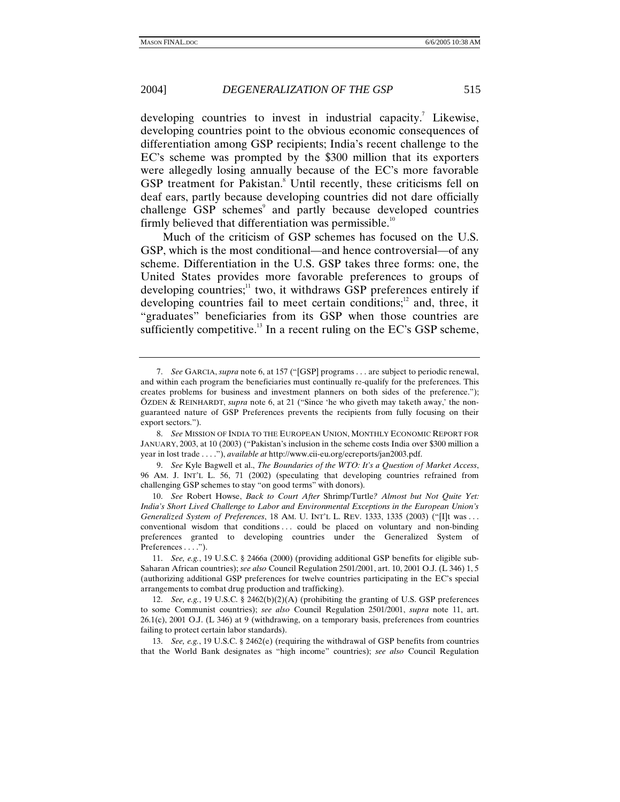developing countries to invest in industrial capacity.<sup>7</sup> Likewise, developing countries point to the obvious economic consequences of differentiation among GSP recipients; India's recent challenge to the EC's scheme was prompted by the \$300 million that its exporters were allegedly losing annually because of the EC's more favorable GSP treatment for Pakistan.<sup>8</sup> Until recently, these criticisms fell on deaf ears, partly because developing countries did not dare officially challenge GSP schemes<sup>9</sup> and partly because developed countries firmly believed that differentiation was permissible.<sup>10</sup>

Much of the criticism of GSP schemes has focused on the U.S. GSP, which is the most conditional—and hence controversial—of any scheme. Differentiation in the U.S. GSP takes three forms: one, the United States provides more favorable preferences to groups of developing countries; $11$  two, it withdraws GSP preferences entirely if developing countries fail to meet certain conditions; $\alpha$ <sup>2</sup> and, three, it "graduates" beneficiaries from its GSP when those countries are sufficiently competitive.<sup>13</sup> In a recent ruling on the EC's GSP scheme,

9. *See* Kyle Bagwell et al., *The Boundaries of the WTO: It's a Question of Market Access*, 96 AM. J. INT'L L. 56, 71 (2002) (speculating that developing countries refrained from challenging GSP schemes to stay "on good terms" with donors).

10. *See* Robert Howse, *Back to Court After* Shrimp/Turtle*? Almost but Not Quite Yet: India's Short Lived Challenge to Labor and Environmental Exceptions in the European Union's Generalized System of Preferences*, 18 AM. U. INT'L L. REV. 1333, 1335 (2003) ("[I]t was . . . conventional wisdom that conditions . . . could be placed on voluntary and non-binding preferences granted to developing countries under the Generalized System of Preferences . . . .").

11. *See, e.g.*, 19 U.S.C. § 2466a (2000) (providing additional GSP benefits for eligible sub-Saharan African countries); *see also* Council Regulation 2501/2001, art. 10, 2001 O.J. (L 346) 1, 5 (authorizing additional GSP preferences for twelve countries participating in the EC's special arrangements to combat drug production and trafficking).

12. *See, e.g.*, 19 U.S.C. § 2462(b)(2)(A) (prohibiting the granting of U.S. GSP preferences to some Communist countries); *see also* Council Regulation 2501/2001, *supra* note 11, art. 26.1(c), 2001 O.J. (L 346) at 9 (withdrawing, on a temporary basis, preferences from countries failing to protect certain labor standards).

13. *See, e.g.*, 19 U.S.C. § 2462(e) (requiring the withdrawal of GSP benefits from countries that the World Bank designates as "high income" countries); *see also* Council Regulation

<sup>7.</sup> *See* GARCIA, *supra* note 6, at 157 ("[GSP] programs . . . are subject to periodic renewal, and within each program the beneficiaries must continually re-qualify for the preferences. This creates problems for business and investment planners on both sides of the preference."); ÖZDEN & REINHARDT, *supra* note 6, at 21 ("Since 'he who giveth may taketh away,' the nonguaranteed nature of GSP Preferences prevents the recipients from fully focusing on their export sectors.").

<sup>8.</sup> *See* MISSION OF INDIA TO THE EUROPEAN UNION, MONTHLY ECONOMIC REPORT FOR JANUARY, 2003, at 10 (2003) ("Pakistan's inclusion in the scheme costs India over \$300 million a year in lost trade . . . ."), *available at* http://www.cii-eu.org/ecreports/jan2003.pdf.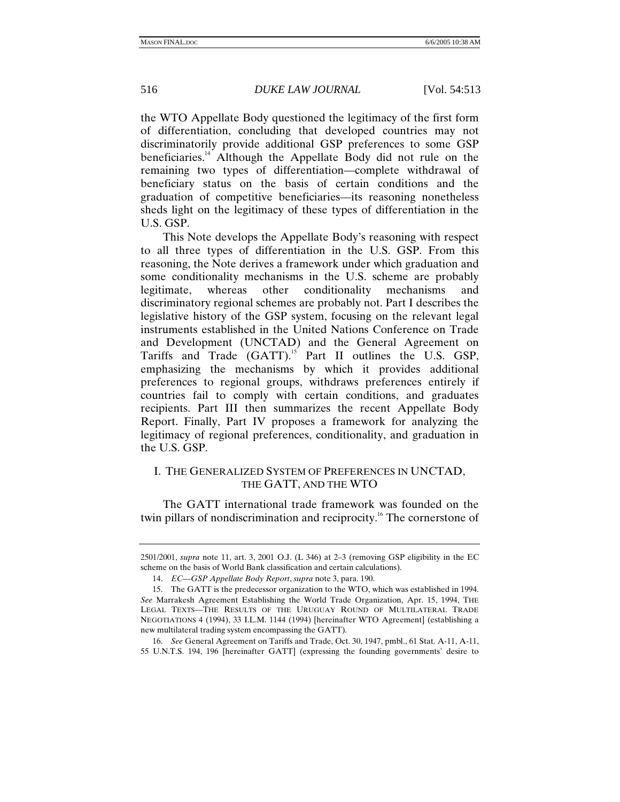the WTO Appellate Body questioned the legitimacy of the first form of differentiation, concluding that developed countries may not discriminatorily provide additional GSP preferences to some GSP beneficiaries.<sup>14</sup> Although the Appellate Body did not rule on the remaining two types of differentiation—complete withdrawal of beneficiary status on the basis of certain conditions and the graduation of competitive beneficiaries—its reasoning nonetheless sheds light on the legitimacy of these types of differentiation in the U.S. GSP.

This Note develops the Appellate Body's reasoning with respect to all three types of differentiation in the U.S. GSP. From this reasoning, the Note derives a framework under which graduation and some conditionality mechanisms in the U.S. scheme are probably legitimate, whereas other conditionality mechanisms and discriminatory regional schemes are probably not. Part I describes the legislative history of the GSP system, focusing on the relevant legal instruments established in the United Nations Conference on Trade and Development (UNCTAD) and the General Agreement on Tariffs and Trade (GATT).<sup>15</sup> Part II outlines the U.S. GSP, emphasizing the mechanisms by which it provides additional preferences to regional groups, withdraws preferences entirely if countries fail to comply with certain conditions, and graduates recipients. Part III then summarizes the recent Appellate Body Report. Finally, Part IV proposes a framework for analyzing the legitimacy of regional preferences, conditionality, and graduation in the U.S. GSP.

# I. THE GENERALIZED SYSTEM OF PREFERENCES IN UNCTAD, THE GATT, AND THE WTO

The GATT international trade framework was founded on the twin pillars of nondiscrimination and reciprocity.<sup>16</sup> The cornerstone of

<sup>2501/2001,</sup> *supra* note 11, art. 3, 2001 O.J. (L 346) at 2–3 (removing GSP eligibility in the EC scheme on the basis of World Bank classification and certain calculations).

<sup>14.</sup> *EC—GSP Appellate Body Report*, *supra* note 3, para. 190.

 <sup>15.</sup> The GATT is the predecessor organization to the WTO, which was established in 1994. *See* Marrakesh Agreement Establishing the World Trade Organization, Apr. 15, 1994, THE LEGAL TEXTS—THE RESULTS OF THE URUGUAY ROUND OF MULTILATERAL TRADE NEGOTIATIONS 4 (1994), 33 I.L.M. 1144 (1994) [hereinafter WTO Agreement] (establishing a new multilateral trading system encompassing the GATT).

<sup>16.</sup> *See* General Agreement on Tariffs and Trade, Oct. 30, 1947, pmbl., 61 Stat. A-11, A-11, 55 U.N.T.S. 194, 196 [hereinafter GATT] (expressing the founding governments' desire to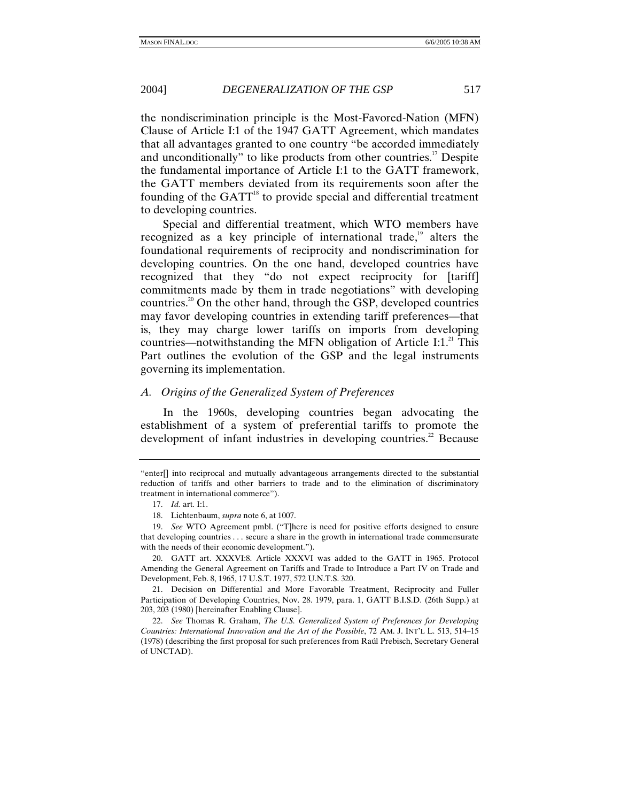the nondiscrimination principle is the Most-Favored-Nation (MFN) Clause of Article I:1 of the 1947 GATT Agreement, which mandates that all advantages granted to one country "be accorded immediately and unconditionally" to like products from other countries.<sup>17</sup> Despite the fundamental importance of Article I:1 to the GATT framework, the GATT members deviated from its requirements soon after the founding of the  $GATT<sup>18</sup>$  to provide special and differential treatment to developing countries.

Special and differential treatment, which WTO members have recognized as a key principle of international trade,<sup>19</sup> alters the foundational requirements of reciprocity and nondiscrimination for developing countries. On the one hand, developed countries have recognized that they "do not expect reciprocity for [tariff] commitments made by them in trade negotiations" with developing countries.<sup>20</sup> On the other hand, through the GSP, developed countries may favor developing countries in extending tariff preferences—that is, they may charge lower tariffs on imports from developing countries—notwithstanding the MFN obligation of Article I:1. $^{21}$  This Part outlines the evolution of the GSP and the legal instruments governing its implementation.

## *A. Origins of the Generalized System of Preferences*

In the 1960s, developing countries began advocating the establishment of a system of preferential tariffs to promote the development of infant industries in developing countries.<sup>22</sup> Because

<sup>&</sup>quot;enter[] into reciprocal and mutually advantageous arrangements directed to the substantial reduction of tariffs and other barriers to trade and to the elimination of discriminatory treatment in international commerce").

<sup>17.</sup> *Id.* art. I:1.

 <sup>18.</sup> Lichtenbaum, *supra* note 6, at 1007.

<sup>19.</sup> *See* WTO Agreement pmbl. ("T]here is need for positive efforts designed to ensure that developing countries . . . secure a share in the growth in international trade commensurate with the needs of their economic development.").

 <sup>20.</sup> GATT art. XXXVI:8. Article XXXVI was added to the GATT in 1965. Protocol Amending the General Agreement on Tariffs and Trade to Introduce a Part IV on Trade and Development, Feb. 8, 1965, 17 U.S.T. 1977, 572 U.N.T.S. 320.

 <sup>21.</sup> Decision on Differential and More Favorable Treatment, Reciprocity and Fuller Participation of Developing Countries, Nov. 28. 1979, para. 1, GATT B.I.S.D. (26th Supp.) at 203, 203 (1980) [hereinafter Enabling Clause].

<sup>22.</sup> *See* Thomas R. Graham, *The U.S. Generalized System of Preferences for Developing Countries: International Innovation and the Art of the Possible*, 72 AM. J. INT'L L. 513, 514–15 (1978) (describing the first proposal for such preferences from Raúl Prebisch, Secretary General of UNCTAD).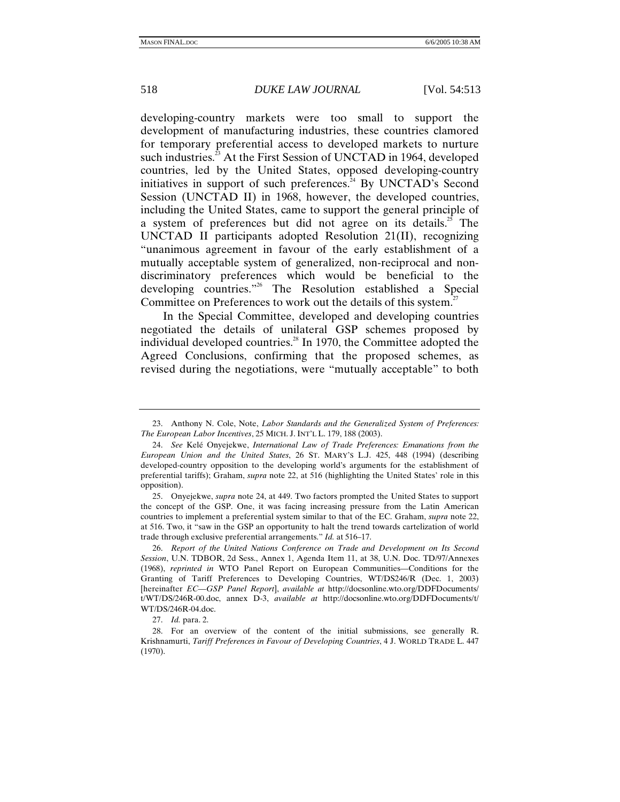developing-country markets were too small to support the development of manufacturing industries, these countries clamored for temporary preferential access to developed markets to nurture such industries.<sup>23</sup> At the First Session of UNCTAD in 1964, developed countries, led by the United States, opposed developing-country initiatives in support of such preferences.<sup>24</sup> By UNCTAD's Second Session (UNCTAD II) in 1968, however, the developed countries, including the United States, came to support the general principle of a system of preferences but did not agree on its details.<sup>25</sup> The UNCTAD II participants adopted Resolution 21(II), recognizing "unanimous agreement in favour of the early establishment of a mutually acceptable system of generalized, non-reciprocal and nondiscriminatory preferences which would be beneficial to the developing countries."26 The Resolution established a Special Committee on Preferences to work out the details of this system.<sup>27</sup>

In the Special Committee, developed and developing countries negotiated the details of unilateral GSP schemes proposed by individual developed countries. $^{28}$  In 1970, the Committee adopted the Agreed Conclusions, confirming that the proposed schemes, as revised during the negotiations, were "mutually acceptable" to both

 <sup>23.</sup> Anthony N. Cole, Note, *Labor Standards and the Generalized System of Preferences: The European Labor Incentives*, 25 MICH. J. INT'L L. 179, 188 (2003).

<sup>24.</sup> *See* Kelé Onyejekwe, *International Law of Trade Preferences: Emanations from the European Union and the United States*, 26 ST. MARY'S L.J. 425, 448 (1994) (describing developed-country opposition to the developing world's arguments for the establishment of preferential tariffs); Graham, *supra* note 22, at 516 (highlighting the United States' role in this opposition).

 <sup>25.</sup> Onyejekwe, *supra* note 24, at 449. Two factors prompted the United States to support the concept of the GSP. One, it was facing increasing pressure from the Latin American countries to implement a preferential system similar to that of the EC. Graham, *supra* note 22, at 516. Two, it "saw in the GSP an opportunity to halt the trend towards cartelization of world trade through exclusive preferential arrangements." *Id.* at 516–17.

 <sup>26.</sup> *Report of the United Nations Conference on Trade and Development on Its Second Session*, U.N. TDBOR, 2d Sess., Annex 1, Agenda Item 11, at 38, U.N. Doc. TD/97/Annexes (1968), *reprinted in* WTO Panel Report on European Communities—Conditions for the Granting of Tariff Preferences to Developing Countries, WT/DS246/R (Dec. 1, 2003) [hereinafter *EC—GSP Panel Report*], *available at* http://docsonline.wto.org/DDFDocuments/ t/WT/DS/246R-00.doc, annex D-3, *available at* http://docsonline.wto.org/DDFDocuments/t/ WT/DS/246R-04.doc.

<sup>27.</sup> *Id.* para. 2.

 <sup>28.</sup> For an overview of the content of the initial submissions, see generally R. Krishnamurti, *Tariff Preferences in Favour of Developing Countries*, 4 J. WORLD TRADE L. 447 (1970).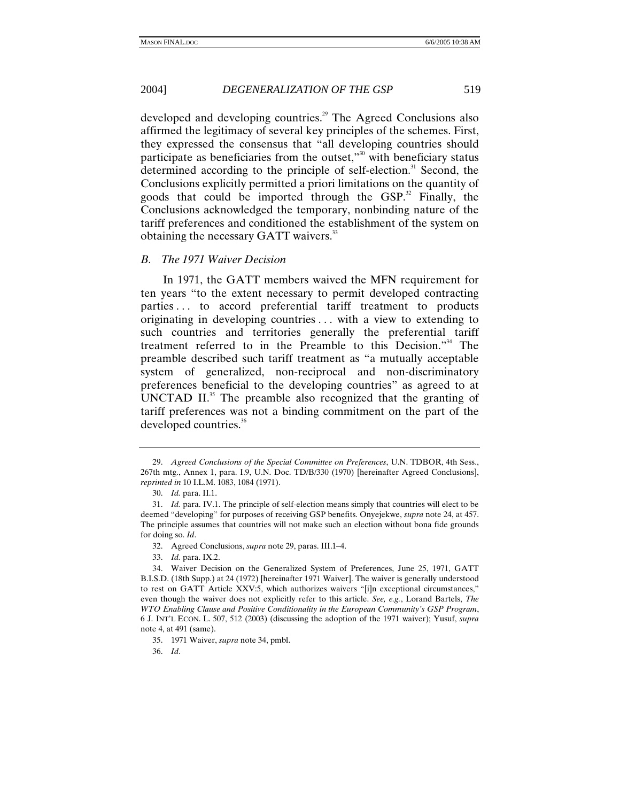developed and developing countries.<sup>29</sup> The Agreed Conclusions also affirmed the legitimacy of several key principles of the schemes. First, they expressed the consensus that "all developing countries should participate as beneficiaries from the outset, $\mathfrak{g}^{30}$  with beneficiary status determined according to the principle of self-election.<sup>31</sup> Second, the Conclusions explicitly permitted a priori limitations on the quantity of goods that could be imported through the  $GSP<sup>32</sup>$  Finally, the Conclusions acknowledged the temporary, nonbinding nature of the tariff preferences and conditioned the establishment of the system on obtaining the necessary GATT waivers.<sup>33</sup>

#### *B. The 1971 Waiver Decision*

In 1971, the GATT members waived the MFN requirement for ten years "to the extent necessary to permit developed contracting parties . . . to accord preferential tariff treatment to products originating in developing countries . . . with a view to extending to such countries and territories generally the preferential tariff treatment referred to in the Preamble to this Decision."34 The preamble described such tariff treatment as "a mutually acceptable system of generalized, non-reciprocal and non-discriminatory preferences beneficial to the developing countries" as agreed to at UNCTAD II. $^{35}$  The preamble also recognized that the granting of tariff preferences was not a binding commitment on the part of the developed countries.<sup>36</sup>

36. *Id*.

 <sup>29.</sup> *Agreed Conclusions of the Special Committee on Preferences*, U.N. TDBOR, 4th Sess., 267th mtg., Annex 1, para. I.9, U.N. Doc. TD/B/330 (1970) [hereinafter Agreed Conclusions], *reprinted in* 10 I.L.M. 1083, 1084 (1971).

<sup>30.</sup> *Id.* para. II.1.

<sup>31.</sup> *Id.* para. IV.1. The principle of self-election means simply that countries will elect to be deemed "developing" for purposes of receiving GSP benefits. Onyejekwe, *supra* note 24, at 457. The principle assumes that countries will not make such an election without bona fide grounds for doing so. *Id*.

 <sup>32.</sup> Agreed Conclusions, *supra* note 29, paras. III.1–4.

<sup>33.</sup> *Id.* para. IX.2.

 <sup>34.</sup> Waiver Decision on the Generalized System of Preferences, June 25, 1971, GATT B.I.S.D. (18th Supp.) at 24 (1972) [hereinafter 1971 Waiver]. The waiver is generally understood to rest on GATT Article XXV:5, which authorizes waivers "[i]n exceptional circumstances," even though the waiver does not explicitly refer to this article. *See, e.g.*, Lorand Bartels, *The WTO Enabling Clause and Positive Conditionality in the European Community's GSP Program*, 6 J. INT'L ECON. L. 507, 512 (2003) (discussing the adoption of the 1971 waiver); Yusuf, *supra*  note 4, at 491 (same).

 <sup>35. 1971</sup> Waiver, *supra* note 34, pmbl.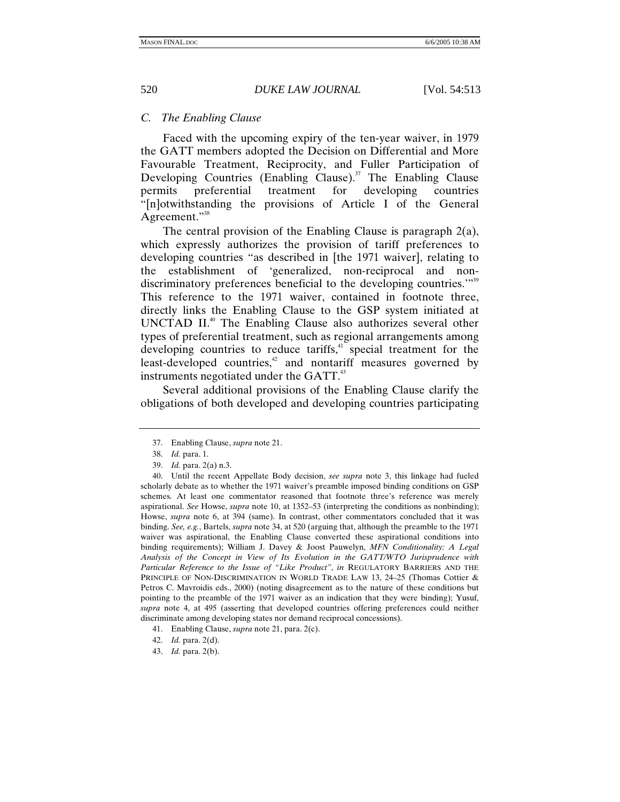# *C. The Enabling Clause*

Faced with the upcoming expiry of the ten-year waiver, in 1979 the GATT members adopted the Decision on Differential and More Favourable Treatment, Reciprocity, and Fuller Participation of Developing Countries (Enabling Clause).<sup>37</sup> The Enabling Clause permits preferential treatment for developing countries "[n]otwithstanding the provisions of Article I of the General Agreement."<sup>38</sup>

The central provision of the Enabling Clause is paragraph 2(a), which expressly authorizes the provision of tariff preferences to developing countries "as described in [the 1971 waiver], relating to the establishment of 'generalized, non-reciprocal and nondiscriminatory preferences beneficial to the developing countries."<sup>39</sup> This reference to the 1971 waiver, contained in footnote three, directly links the Enabling Clause to the GSP system initiated at UNCTAD II.<sup>40</sup> The Enabling Clause also authorizes several other types of preferential treatment, such as regional arrangements among developing countries to reduce tariffs, $4\overline{1}$  special treatment for the least-developed countries,<sup>42</sup> and nontariff measures governed by instruments negotiated under the GATT. $43$ 

Several additional provisions of the Enabling Clause clarify the obligations of both developed and developing countries participating

 40. Until the recent Appellate Body decision, *see supra* note 3, this linkage had fueled scholarly debate as to whether the 1971 waiver's preamble imposed binding conditions on GSP schemes. At least one commentator reasoned that footnote three's reference was merely aspirational. *See* Howse, *supra* note 10, at 1352–53 (interpreting the conditions as nonbinding); Howse, *supra* note 6, at 394 (same). In contrast, other commentators concluded that it was binding. *See, e.g.*, Bartels, *supra* note 34, at 520 (arguing that, although the preamble to the 1971 waiver was aspirational, the Enabling Clause converted these aspirational conditions into binding requirements); William J. Davey & Joost Pauwelyn, *MFN Conditionality: A Legal Analysis of the Concept in View of Its Evolution in the GATT/WTO Jurisprudence with Particular Reference to the Issue of "Like Product"*, *in* REGULATORY BARRIERS AND THE PRINCIPLE OF NON-DISCRIMINATION IN WORLD TRADE LAW 13, 24–25 (Thomas Cottier & Petros C. Mavroidis eds., 2000) (noting disagreement as to the nature of these conditions but pointing to the preamble of the 1971 waiver as an indication that they were binding); Yusuf, *supra* note 4, at 495 (asserting that developed countries offering preferences could neither discriminate among developing states nor demand reciprocal concessions).

 <sup>37.</sup> Enabling Clause, *supra* note 21.

<sup>38.</sup> *Id.* para. 1.

<sup>39.</sup> *Id.* para. 2(a) n.3.

 <sup>41.</sup> Enabling Clause, *supra* note 21, para. 2(c).

<sup>42.</sup> *Id.* para. 2(d).

<sup>43.</sup> *Id.* para. 2(b).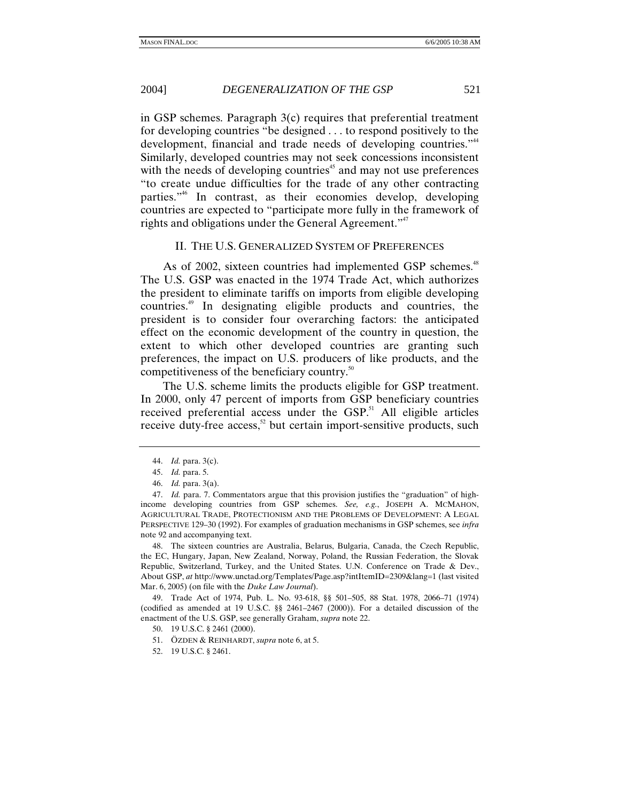in GSP schemes. Paragraph 3(c) requires that preferential treatment for developing countries "be designed . . . to respond positively to the development, financial and trade needs of developing countries."<sup>44</sup> Similarly, developed countries may not seek concessions inconsistent with the needs of developing countries<sup> $45$ </sup> and may not use preferences "to create undue difficulties for the trade of any other contracting parties."46 In contrast, as their economies develop, developing countries are expected to "participate more fully in the framework of rights and obligations under the General Agreement."<sup>47</sup>

#### II. THE U.S. GENERALIZED SYSTEM OF PREFERENCES

As of 2002, sixteen countries had implemented GSP schemes.<sup>48</sup> The U.S. GSP was enacted in the 1974 Trade Act, which authorizes the president to eliminate tariffs on imports from eligible developing countries.49 In designating eligible products and countries, the president is to consider four overarching factors: the anticipated effect on the economic development of the country in question, the extent to which other developed countries are granting such preferences, the impact on U.S. producers of like products, and the competitiveness of the beneficiary country.<sup>50</sup>

The U.S. scheme limits the products eligible for GSP treatment. In 2000, only 47 percent of imports from GSP beneficiary countries received preferential access under the GSP.<sup>51</sup> All eligible articles receive duty-free access, $52$  but certain import-sensitive products, such

 48. The sixteen countries are Australia, Belarus, Bulgaria, Canada, the Czech Republic, the EC, Hungary, Japan, New Zealand, Norway, Poland, the Russian Federation, the Slovak Republic, Switzerland, Turkey, and the United States. U.N. Conference on Trade & Dev., About GSP, *at* http://www.unctad.org/Templates/Page.asp?intItemID=2309&lang=1 (last visited Mar. 6, 2005) (on file with the *Duke Law Journal*).

 49. Trade Act of 1974, Pub. L. No. 93-618, §§ 501–505, 88 Stat. 1978, 2066–71 (1974) (codified as amended at 19 U.S.C. §§ 2461–2467 (2000)). For a detailed discussion of the enactment of the U.S. GSP, see generally Graham, *supra* note 22.

<sup>44.</sup> *Id.* para. 3(c).

<sup>45.</sup> *Id.* para. 5.

<sup>46.</sup> *Id.* para. 3(a).

<sup>47.</sup> *Id.* para. 7. Commentators argue that this provision justifies the "graduation" of highincome developing countries from GSP schemes. *See, e.g.*, JOSEPH A. MCMAHON, AGRICULTURAL TRADE, PROTECTIONISM AND THE PROBLEMS OF DEVELOPMENT: A LEGAL PERSPECTIVE 129–30 (1992). For examples of graduation mechanisms in GSP schemes, see *infra*  note 92 and accompanying text.

 <sup>50. 19</sup> U.S.C. § 2461 (2000).

 <sup>51.</sup> ÖZDEN & REINHARDT, *supra* note 6, at 5.

 <sup>52. 19</sup> U.S.C. § 2461.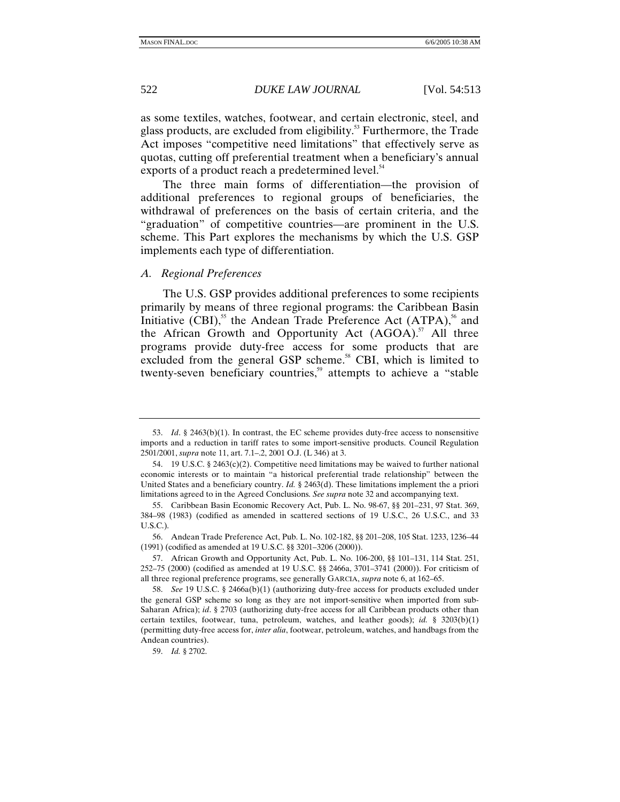as some textiles, watches, footwear, and certain electronic, steel, and glass products, are excluded from eligibility. $53$  Furthermore, the Trade Act imposes "competitive need limitations" that effectively serve as quotas, cutting off preferential treatment when a beneficiary's annual exports of a product reach a predetermined level.<sup>54</sup>

The three main forms of differentiation—the provision of additional preferences to regional groups of beneficiaries, the withdrawal of preferences on the basis of certain criteria, and the "graduation" of competitive countries—are prominent in the U.S. scheme. This Part explores the mechanisms by which the U.S. GSP implements each type of differentiation.

#### *A. Regional Preferences*

The U.S. GSP provides additional preferences to some recipients primarily by means of three regional programs: the Caribbean Basin Initiative  $(CBI)$ ,<sup>55</sup> the Andean Trade Preference Act  $(ATPA)$ ,<sup>56</sup> and the African Growth and Opportunity Act  $(AGOA)$ .<sup>57</sup> All three programs provide duty-free access for some products that are excluded from the general GSP scheme.<sup>58</sup> CBI, which is limited to twenty-seven beneficiary countries,<sup>59</sup> attempts to achieve a "stable"

<sup>53.</sup> *Id*. § 2463(b)(1). In contrast, the EC scheme provides duty-free access to nonsensitive imports and a reduction in tariff rates to some import-sensitive products. Council Regulation 2501/2001, *supra* note 11, art. 7.1–.2, 2001 O.J. (L 346) at 3.

 <sup>54. 19</sup> U.S.C. § 2463(c)(2). Competitive need limitations may be waived to further national economic interests or to maintain "a historical preferential trade relationship" between the United States and a beneficiary country. *Id.* § 2463(d). These limitations implement the a priori limitations agreed to in the Agreed Conclusions. *See supra* note 32 and accompanying text.

 <sup>55.</sup> Caribbean Basin Economic Recovery Act, Pub. L. No. 98-67, §§ 201–231, 97 Stat. 369, 384–98 (1983) (codified as amended in scattered sections of 19 U.S.C., 26 U.S.C., and 33 U.S.C.).

 <sup>56.</sup> Andean Trade Preference Act, Pub. L. No. 102-182, §§ 201–208, 105 Stat. 1233, 1236–44 (1991) (codified as amended at 19 U.S.C. §§ 3201–3206 (2000)).

 <sup>57.</sup> African Growth and Opportunity Act, Pub. L. No. 106-200, §§ 101–131, 114 Stat. 251, 252–75 (2000) (codified as amended at 19 U.S.C. §§ 2466a, 3701–3741 (2000)). For criticism of all three regional preference programs, see generally GARCIA, *supra* note 6, at 162–65.

<sup>58.</sup> *See* 19 U.S.C. § 2466a(b)(1) (authorizing duty-free access for products excluded under the general GSP scheme so long as they are not import-sensitive when imported from sub-Saharan Africa); *id*. § 2703 (authorizing duty-free access for all Caribbean products other than certain textiles, footwear, tuna, petroleum, watches, and leather goods); *id.* § 3203(b)(1) (permitting duty-free access for, *inter alia*, footwear, petroleum, watches, and handbags from the Andean countries).

<sup>59.</sup> *Id.* § 2702.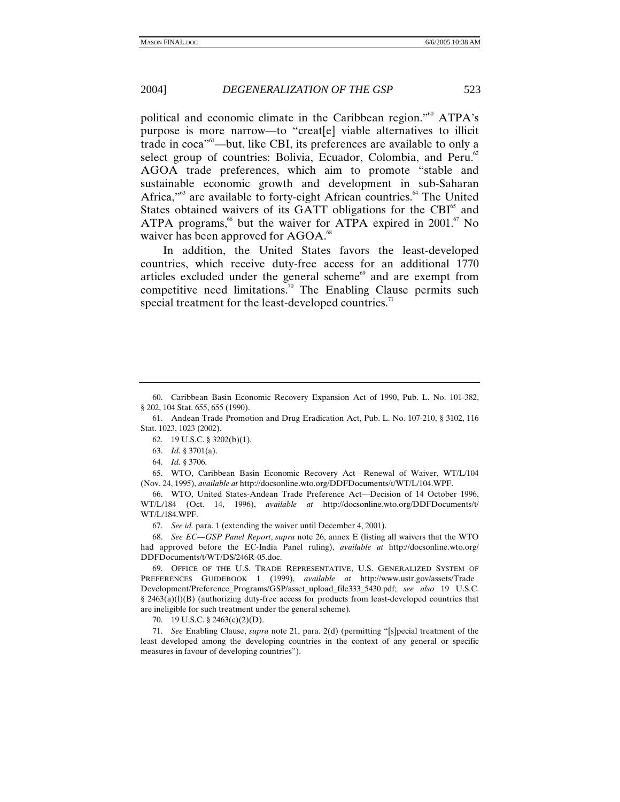political and economic climate in the Caribbean region."<sup>60</sup> ATPA's purpose is more narrow—to "creat[e] viable alternatives to illicit trade in coca<sup>"61</sup>—but, like CBI, its preferences are available to only a select group of countries: Bolivia, Ecuador, Colombia, and Peru.<sup>62</sup> AGOA trade preferences, which aim to promote "stable and sustainable economic growth and development in sub-Saharan Africa,"<sup>63</sup> are available to forty-eight African countries.<sup>64</sup> The United States obtained waivers of its GATT obligations for the CBI<sup>65</sup> and ATPA programs,<sup>66</sup> but the waiver for ATPA expired in 2001.<sup>67</sup> No waiver has been approved for AGOA.<sup>68</sup>

In addition, the United States favors the least-developed countries, which receive duty-free access for an additional 1770 articles excluded under the general scheme $\theta$  and are exempt from competitive need limitations.<sup>70</sup> The Enabling Clause permits such special treatment for the least-developed countries.<sup>71</sup>

64. *Id.* § 3706.

 65. WTO, Caribbean Basin Economic Recovery Act—Renewal of Waiver, WT/L/104 (Nov. 24, 1995), *available at* http://docsonline.wto.org/DDFDocuments/t/WT/L/104.WPF.

 66. WTO, United States-Andean Trade Preference Act—Decision of 14 October 1996, WT/L/184 (Oct. 14, 1996), *available at* http://docsonline.wto.org/DDFDocuments/t/ WT/L/184.WPF.

67. *See id.* para. 1 (extending the waiver until December 4, 2001).

68. *See EC—GSP Panel Report*, *supra* note 26, annex E (listing all waivers that the WTO had approved before the EC-India Panel ruling), *available at* http://docsonline.wto.org/ DDFDocuments/t/WT/DS/246R-05.doc.

 69. OFFICE OF THE U.S. TRADE REPRESENTATIVE, U.S. GENERALIZED SYSTEM OF PREFERENCES GUIDEBOOK 1 (1999), *available at* http://www.ustr.gov/assets/Trade\_ Development/Preference\_Programs/GSP/asset\_upload\_file333\_5430.pdf; *see also* 19 U.S.C. § 2463(a)(l)(B) (authorizing duty-free access for products from least-developed countries that are ineligible for such treatment under the general scheme).

70. 19 U.S.C. § 2463(c)(2)(D).

71. *See* Enabling Clause, *supra* note 21, para. 2(d) (permitting "[s]pecial treatment of the least developed among the developing countries in the context of any general or specific measures in favour of developing countries").

 <sup>60.</sup> Caribbean Basin Economic Recovery Expansion Act of 1990, Pub. L. No. 101-382, § 202, 104 Stat. 655, 655 (1990).

 <sup>61.</sup> Andean Trade Promotion and Drug Eradication Act, Pub. L. No. 107-210, § 3102, 116 Stat. 1023, 1023 (2002).

 <sup>62. 19</sup> U.S.C. § 3202(b)(1).

<sup>63.</sup> *Id.* § 3701(a).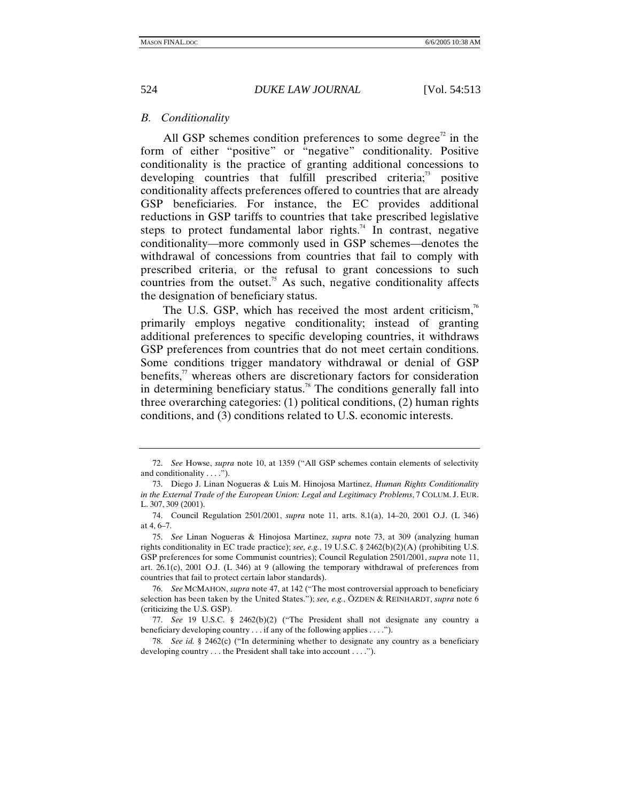## *B. Conditionality*

All GSP schemes condition preferences to some degree<sup> $2$ </sup> in the form of either "positive" or "negative" conditionality. Positive conditionality is the practice of granting additional concessions to developing countries that fulfill prescribed criteria; $\frac{73}{12}$  positive conditionality affects preferences offered to countries that are already GSP beneficiaries. For instance, the EC provides additional reductions in GSP tariffs to countries that take prescribed legislative steps to protect fundamental labor rights.<sup>74</sup> In contrast, negative conditionality—more commonly used in GSP schemes—denotes the withdrawal of concessions from countries that fail to comply with prescribed criteria, or the refusal to grant concessions to such countries from the outset.<sup>75</sup> As such, negative conditionality affects the designation of beneficiary status.

The U.S. GSP, which has received the most ardent criticism, $\frac{7}{6}$ primarily employs negative conditionality; instead of granting additional preferences to specific developing countries, it withdraws GSP preferences from countries that do not meet certain conditions. Some conditions trigger mandatory withdrawal or denial of GSP benefits, $\mu$  whereas others are discretionary factors for consideration in determining beneficiary status.<sup>78</sup> The conditions generally fall into three overarching categories: (1) political conditions, (2) human rights conditions, and (3) conditions related to U.S. economic interests.

<sup>72.</sup> *See* Howse, *supra* note 10, at 1359 ("All GSP schemes contain elements of selectivity and conditionality . . . .").

 <sup>73.</sup> Diego J. Linan Nogueras & Luis M. Hinojosa Martinez, *Human Rights Conditionality in the External Trade of the European Union: Legal and Legitimacy Problems*, 7 COLUM. J. EUR. L. 307, 309 (2001).

 <sup>74.</sup> Council Regulation 2501/2001, *supra* note 11, arts. 8.1(a), 14–20, 2001 O.J. (L 346) at 4, 6–7.

<sup>75.</sup> *See* Linan Nogueras & Hinojosa Martinez, *supra* note 73, at 309 (analyzing human rights conditionality in EC trade practice); *see, e.g.*, 19 U.S.C. § 2462(b)(2)(A) (prohibiting U.S. GSP preferences for some Communist countries); Council Regulation 2501/2001, *supra* note 11, art. 26.1(c), 2001 O.J. (L 346) at 9 (allowing the temporary withdrawal of preferences from countries that fail to protect certain labor standards).

<sup>76.</sup> *See* MCMAHON, *supra* note 47, at 142 ("The most controversial approach to beneficiary selection has been taken by the United States."); *see, e.g.*, ÖZDEN & REINHARDT, *supra* note 6 (criticizing the U.S. GSP).

<sup>77.</sup> *See* 19 U.S.C. § 2462(b)(2) ("The President shall not designate any country a beneficiary developing country . . . if any of the following applies . . . .").

<sup>78.</sup> *See id.* § 2462(c) ("In determining whether to designate any country as a beneficiary developing country . . . the President shall take into account . . . .").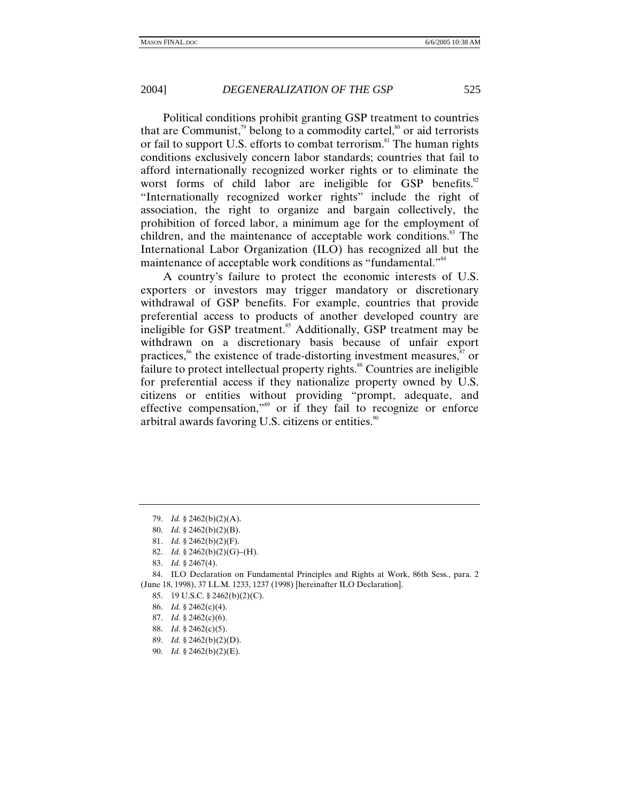Political conditions prohibit granting GSP treatment to countries that are Communist,<sup>79</sup> belong to a commodity cartel,<sup>80</sup> or aid terrorists or fail to support U.S. efforts to combat terrorism.<sup>81</sup> The human rights conditions exclusively concern labor standards; countries that fail to afford internationally recognized worker rights or to eliminate the worst forms of child labor are ineligible for GSP benefits. $82$ "Internationally recognized worker rights" include the right of association, the right to organize and bargain collectively, the prohibition of forced labor, a minimum age for the employment of children, and the maintenance of acceptable work conditions.<sup>83</sup> The International Labor Organization (ILO) has recognized all but the maintenance of acceptable work conditions as "fundamental."<sup>84</sup>

A country's failure to protect the economic interests of U.S. exporters or investors may trigger mandatory or discretionary withdrawal of GSP benefits. For example, countries that provide preferential access to products of another developed country are ineligible for GSP treatment.<sup>85</sup> Additionally, GSP treatment may be withdrawn on a discretionary basis because of unfair export practices,<sup>86</sup> the existence of trade-distorting investment measures, $\frac{87}{10}$  or failure to protect intellectual property rights.<sup>88</sup> Countries are ineligible for preferential access if they nationalize property owned by U.S. citizens or entities without providing "prompt, adequate, and effective compensation,"89 or if they fail to recognize or enforce arbitral awards favoring U.S. citizens or entities.<sup>90</sup>

- 80. *Id.* § 2462(b)(2)(B).
- 81. *Id.* § 2462(b)(2)(F).
- 82. *Id.* § 2462(b)(2)(G)–(H).
- 83. *Id.* § 2467(4).

 84. ILO Declaration on Fundamental Principles and Rights at Work, 86th Sess., para. 2 (June 18, 1998), 37 I.L.M. 1233, 1237 (1998) [hereinafter ILO Declaration].

- 85. 19 U.S.C. § 2462(b)(2)(C).
- 86. *Id.* § 2462(c)(4).
- 87. *Id.* § 2462(c)(6).
- 88. *Id.* § 2462(c)(5).
- 89. *Id.* § 2462(b)(2)(D).
- 90. *Id.* § 2462(b)(2)(E).

<sup>79.</sup> *Id.* § 2462(b)(2)(A).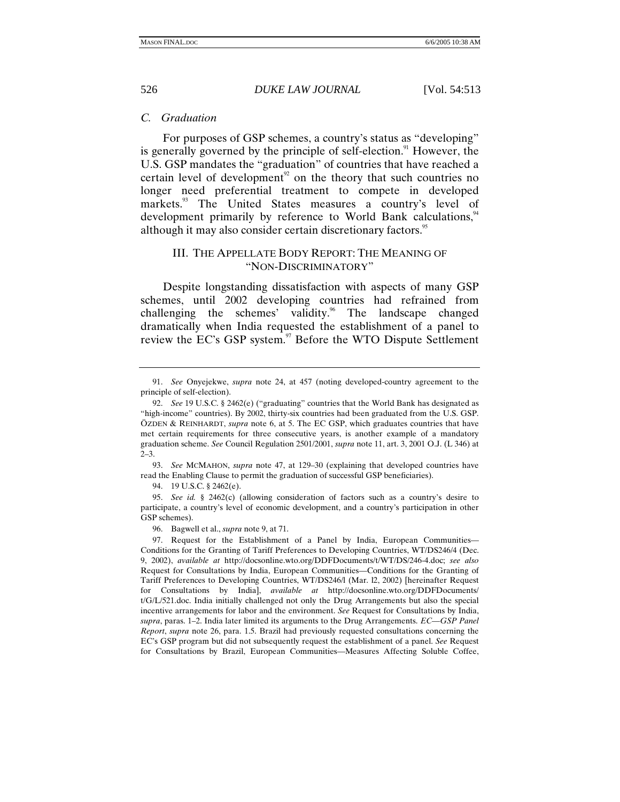## *C. Graduation*

For purposes of GSP schemes, a country's status as "developing" is generally governed by the principle of self-election.<sup>91</sup> However, the U.S. GSP mandates the "graduation" of countries that have reached a certain level of development<sup>92</sup> on the theory that such countries no longer need preferential treatment to compete in developed markets.<sup>93</sup> The United States measures a country's level of development primarily by reference to World Bank calculations,<sup>94</sup> although it may also consider certain discretionary factors.<sup>95</sup>

## III. THE APPELLATE BODY REPORT: THE MEANING OF "NON-DISCRIMINATORY"

Despite longstanding dissatisfaction with aspects of many GSP schemes, until 2002 developing countries had refrained from challenging the schemes' validity.<sup>96</sup> The landscape changed dramatically when India requested the establishment of a panel to review the EC's GSP system.<sup>97</sup> Before the WTO Dispute Settlement

93. *See* MCMAHON, *supra* note 47, at 129–30 (explaining that developed countries have read the Enabling Clause to permit the graduation of successful GSP beneficiaries).

94. 19 U.S.C. § 2462(e).

95. *See id.* § 2462(c) (allowing consideration of factors such as a country's desire to participate, a country's level of economic development, and a country's participation in other GSP schemes).

96. Bagwell et al., *supra* note 9, at 71.

<sup>91.</sup> *See* Onyejekwe, *supra* note 24, at 457 (noting developed-country agreement to the principle of self-election).

<sup>92.</sup> *See* 19 U.S.C. § 2462(e) ("graduating" countries that the World Bank has designated as "high-income" countries). By 2002, thirty-six countries had been graduated from the U.S. GSP. ÖZDEN & REINHARDT, *supra* note 6, at 5. The EC GSP, which graduates countries that have met certain requirements for three consecutive years, is another example of a mandatory graduation scheme. *See* Council Regulation 2501/2001, *supra* note 11, art. 3, 2001 O.J. (L 346) at  $2 - 3$ .

 <sup>97.</sup> Request for the Establishment of a Panel by India, European Communities— Conditions for the Granting of Tariff Preferences to Developing Countries, WT/DS246/4 (Dec. 9, 2002), *available at* http://docsonline.wto.org/DDFDocuments/t/WT/DS/246-4.doc; *see also*  Request for Consultations by India, European Communities—Conditions for the Granting of Tariff Preferences to Developing Countries, WT/DS246/l (Mar. l2, 2002) [hereinafter Request for Consultations by India], *available at* http://docsonline.wto.org/DDFDocuments/ t/G/L/521.doc. India initially challenged not only the Drug Arrangements but also the special incentive arrangements for labor and the environment. *See* Request for Consultations by India, *supra*, paras. 1–2. India later limited its arguments to the Drug Arrangements. *EC—GSP Panel Report*, *supra* note 26, para. 1.5. Brazil had previously requested consultations concerning the EC's GSP program but did not subsequently request the establishment of a panel. *See* Request for Consultations by Brazil, European Communities—Measures Affecting Soluble Coffee,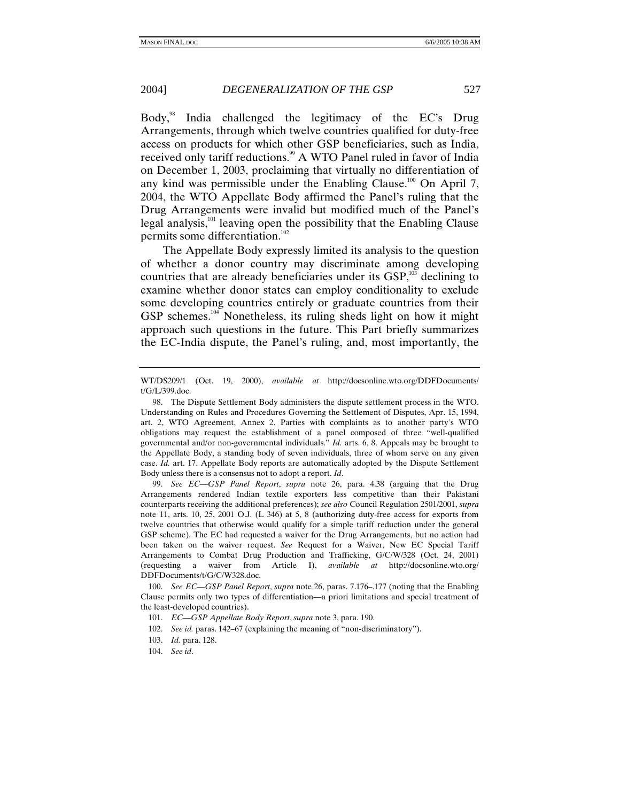Body,<sup>98</sup> India challenged the legitimacy of the EC's Drug Arrangements, through which twelve countries qualified for duty-free access on products for which other GSP beneficiaries, such as India, received only tariff reductions.<sup>99</sup> A WTO Panel ruled in favor of India on December 1, 2003, proclaiming that virtually no differentiation of any kind was permissible under the Enabling Clause.<sup>100</sup> On April 7, 2004, the WTO Appellate Body affirmed the Panel's ruling that the Drug Arrangements were invalid but modified much of the Panel's legal analysis, $101$  leaving open the possibility that the Enabling Clause permits some differentiation.<sup>102</sup>

The Appellate Body expressly limited its analysis to the question of whether a donor country may discriminate among developing countries that are already beneficiaries under its  $GSP$ ,<sup>103</sup> declining to examine whether donor states can employ conditionality to exclude some developing countries entirely or graduate countries from their GSP schemes.<sup>104</sup> Nonetheless, its ruling sheds light on how it might approach such questions in the future. This Part briefly summarizes the EC-India dispute, the Panel's ruling, and, most importantly, the

99. *See EC—GSP Panel Report*, *supra* note 26, para. 4.38 (arguing that the Drug Arrangements rendered Indian textile exporters less competitive than their Pakistani counterparts receiving the additional preferences); *see also* Council Regulation 2501/2001, *supra*  note 11, arts. 10, 25, 2001 O.J. (L 346) at 5, 8 (authorizing duty-free access for exports from twelve countries that otherwise would qualify for a simple tariff reduction under the general GSP scheme). The EC had requested a waiver for the Drug Arrangements, but no action had been taken on the waiver request. *See* Request for a Waiver, New EC Special Tariff Arrangements to Combat Drug Production and Trafficking, G/C/W/328 (Oct. 24, 2001) (requesting a waiver from Article I), *available at* http://docsonline.wto.org/ DDFDocuments/t/G/C/W328.doc.

100. *See EC—GSP Panel Report*, *supra* note 26, paras. 7.176–.177 (noting that the Enabling Clause permits only two types of differentiation—a priori limitations and special treatment of the least-developed countries).

WT/DS209/1 (Oct. 19, 2000), *available at* http://docsonline.wto.org/DDFDocuments/ t/G/L/399.doc.

 <sup>98.</sup> The Dispute Settlement Body administers the dispute settlement process in the WTO. Understanding on Rules and Procedures Governing the Settlement of Disputes, Apr. 15, 1994, art. 2, WTO Agreement, Annex 2. Parties with complaints as to another party's WTO obligations may request the establishment of a panel composed of three "well-qualified governmental and/or non-governmental individuals." *Id.* arts. 6, 8. Appeals may be brought to the Appellate Body, a standing body of seven individuals, three of whom serve on any given case. *Id.* art. 17. Appellate Body reports are automatically adopted by the Dispute Settlement Body unless there is a consensus not to adopt a report. *Id*.

<sup>101.</sup> *EC—GSP Appellate Body Report*, *supra* note 3, para. 190.

<sup>102.</sup> *See id.* paras. 142–67 (explaining the meaning of "non-discriminatory").

<sup>103.</sup> *Id.* para. 128.

<sup>104.</sup> *See id*.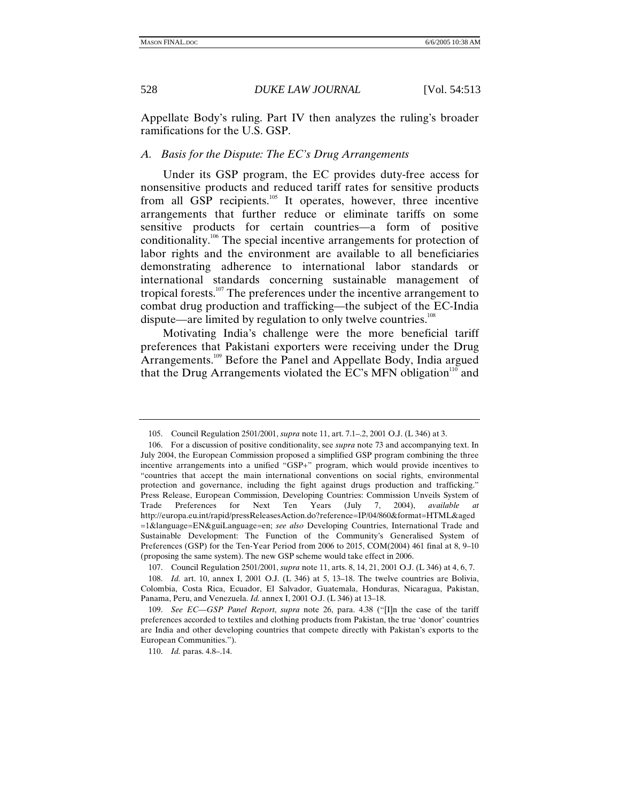Appellate Body's ruling. Part IV then analyzes the ruling's broader ramifications for the U.S. GSP.

# *A. Basis for the Dispute: The EC's Drug Arrangements*

Under its GSP program, the EC provides duty-free access for nonsensitive products and reduced tariff rates for sensitive products from all GSP recipients.<sup>105</sup> It operates, however, three incentive arrangements that further reduce or eliminate tariffs on some sensitive products for certain countries—a form of positive conditionality.106 The special incentive arrangements for protection of labor rights and the environment are available to all beneficiaries demonstrating adherence to international labor standards or international standards concerning sustainable management of tropical forests.<sup>107</sup> The preferences under the incentive arrangement to combat drug production and trafficking—the subject of the EC-India dispute—are limited by regulation to only twelve countries.<sup>108</sup>

Motivating India's challenge were the more beneficial tariff preferences that Pakistani exporters were receiving under the Drug Arrangements.<sup>109</sup> Before the Panel and Appellate Body, India argued that the Drug Arrangements violated the EC's MFN obligation $110$  and

 <sup>105.</sup> Council Regulation 2501/2001, *supra* note 11, art. 7.1–.2, 2001 O.J. (L 346) at 3.

 <sup>106.</sup> For a discussion of positive conditionality, see *supra* note 73 and accompanying text. In July 2004, the European Commission proposed a simplified GSP program combining the three incentive arrangements into a unified "GSP+" program, which would provide incentives to "countries that accept the main international conventions on social rights, environmental protection and governance, including the fight against drugs production and trafficking." Press Release, European Commission, Developing Countries: Commission Unveils System of Trade Preferences for Next Ten Years (July 7, 2004), *available at* http://europa.eu.int/rapid/pressReleasesAction.do?reference=IP/04/860&format=HTML&aged =1&language=EN&guiLanguage=en; *see also* Developing Countries, International Trade and Sustainable Development: The Function of the Community's Generalised System of Preferences (GSP) for the Ten-Year Period from 2006 to 2015, COM(2004) 461 final at 8, 9–10 (proposing the same system). The new GSP scheme would take effect in 2006.

 <sup>107.</sup> Council Regulation 2501/2001, *supra* note 11, arts. 8, 14, 21, 2001 O.J. (L 346) at 4, 6, 7.

<sup>108.</sup> *Id.* art. 10, annex I, 2001 O.J. (L 346) at 5, 13–18. The twelve countries are Bolivia, Colombia, Costa Rica, Ecuador, El Salvador, Guatemala, Honduras, Nicaragua, Pakistan, Panama, Peru, and Venezuela. *Id.* annex I, 2001 O.J. (L 346) at 13–18.

<sup>109.</sup> *See EC—GSP Panel Report*, *supra* note 26, para. 4.38 ("[I]n the case of the tariff preferences accorded to textiles and clothing products from Pakistan, the true 'donor' countries are India and other developing countries that compete directly with Pakistan's exports to the European Communities.").

<sup>110.</sup> *Id.* paras. 4.8–.14.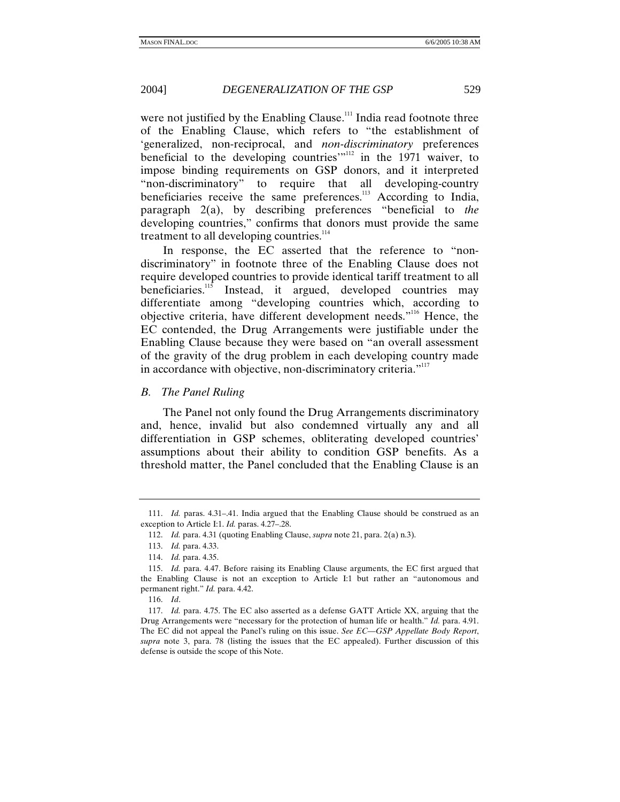were not justified by the Enabling Clause.<sup>111</sup> India read footnote three of the Enabling Clause, which refers to "the establishment of 'generalized, non-reciprocal, and *non-discriminatory* preferences beneficial to the developing countries<sup>"112</sup> in the 1971 waiver, to impose binding requirements on GSP donors, and it interpreted "non-discriminatory" to require that all developing-country beneficiaries receive the same preferences.<sup>113</sup> According to India, paragraph 2(a), by describing preferences "beneficial to *the*  developing countries," confirms that donors must provide the same treatment to all developing countries.<sup>114</sup>

In response, the EC asserted that the reference to "nondiscriminatory" in footnote three of the Enabling Clause does not require developed countries to provide identical tariff treatment to all beneficiaries.<sup>115</sup> Instead, it argued, developed countries may differentiate among "developing countries which, according to objective criteria, have different development needs."116 Hence, the EC contended, the Drug Arrangements were justifiable under the Enabling Clause because they were based on "an overall assessment of the gravity of the drug problem in each developing country made in accordance with objective, non-discriminatory criteria."<sup>117</sup>

#### *B. The Panel Ruling*

The Panel not only found the Drug Arrangements discriminatory and, hence, invalid but also condemned virtually any and all differentiation in GSP schemes, obliterating developed countries' assumptions about their ability to condition GSP benefits. As a threshold matter, the Panel concluded that the Enabling Clause is an

<sup>111.</sup> *Id.* paras. 4.31–.41. India argued that the Enabling Clause should be construed as an exception to Article I:1. *Id.* paras. 4.27–.28.

<sup>112.</sup> *Id.* para. 4.31 (quoting Enabling Clause, *supra* note 21, para. 2(a) n.3).

<sup>113.</sup> *Id.* para. 4.33.

<sup>114.</sup> *Id.* para. 4.35.

<sup>115.</sup> *Id.* para. 4.47. Before raising its Enabling Clause arguments, the EC first argued that the Enabling Clause is not an exception to Article I:1 but rather an "autonomous and permanent right." *Id.* para. 4.42.

<sup>116.</sup> *Id*.

<sup>117.</sup> *Id.* para. 4.75. The EC also asserted as a defense GATT Article XX, arguing that the Drug Arrangements were "necessary for the protection of human life or health." *Id.* para. 4.91. The EC did not appeal the Panel's ruling on this issue. *See EC—GSP Appellate Body Report*, *supra* note 3, para. 78 (listing the issues that the EC appealed). Further discussion of this defense is outside the scope of this Note.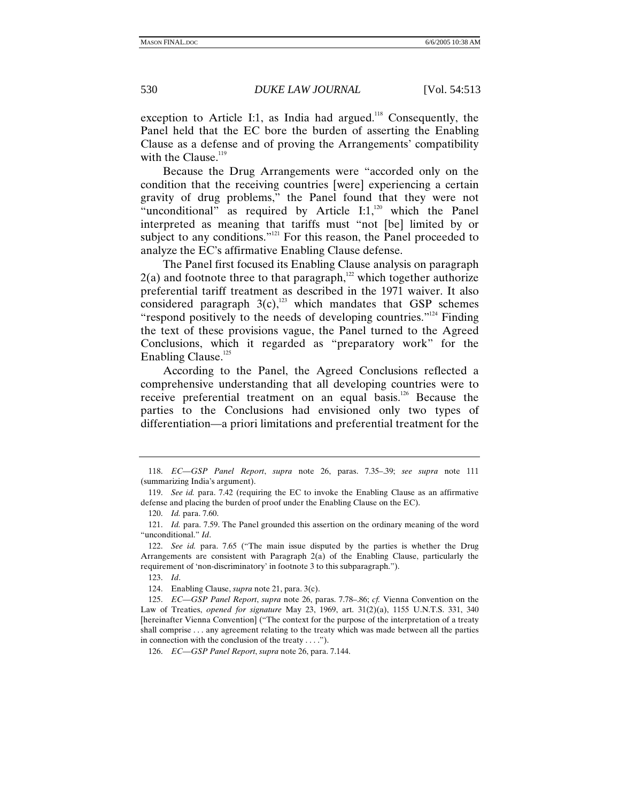exception to Article I:1, as India had argued.<sup>118</sup> Consequently, the Panel held that the EC bore the burden of asserting the Enabling Clause as a defense and of proving the Arrangements' compatibility with the Clause. $119$ 

Because the Drug Arrangements were "accorded only on the condition that the receiving countries [were] experiencing a certain gravity of drug problems," the Panel found that they were not "unconditional" as required by Article  $I:1,1^{20}$  which the Panel interpreted as meaning that tariffs must "not [be] limited by or subject to any conditions."<sup>121</sup> For this reason, the Panel proceeded to analyze the EC's affirmative Enabling Clause defense.

The Panel first focused its Enabling Clause analysis on paragraph  $2(a)$  and footnote three to that paragraph,<sup>122</sup> which together authorize preferential tariff treatment as described in the 1971 waiver. It also considered paragraph  $3(c)$ ,<sup>123</sup> which mandates that GSP schemes "respond positively to the needs of developing countries."<sup>124</sup> Finding the text of these provisions vague, the Panel turned to the Agreed Conclusions, which it regarded as "preparatory work" for the Enabling Clause.<sup>125</sup>

According to the Panel, the Agreed Conclusions reflected a comprehensive understanding that all developing countries were to receive preferential treatment on an equal basis.<sup>126</sup> Because the parties to the Conclusions had envisioned only two types of differentiation—a priori limitations and preferential treatment for the

126. *EC—GSP Panel Report*, *supra* note 26, para. 7.144.

<sup>118.</sup> *EC—GSP Panel Report*, *supra* note 26, paras. 7.35–.39; *see supra* note 111 (summarizing India's argument).

<sup>119.</sup> *See id.* para. 7.42 (requiring the EC to invoke the Enabling Clause as an affirmative defense and placing the burden of proof under the Enabling Clause on the EC).

<sup>120.</sup> *Id.* para. 7.60.

<sup>121.</sup> *Id.* para. 7.59. The Panel grounded this assertion on the ordinary meaning of the word "unconditional." *Id*.

<sup>122.</sup> *See id.* para. 7.65 ("The main issue disputed by the parties is whether the Drug Arrangements are consistent with Paragraph 2(a) of the Enabling Clause, particularly the requirement of 'non-discriminatory' in footnote 3 to this subparagraph.").

<sup>123.</sup> *Id*.

 <sup>124.</sup> Enabling Clause, *supra* note 21, para. 3(c).

<sup>125.</sup> *EC—GSP Panel Report*, *supra* note 26, paras. 7.78–.86; *cf.* Vienna Convention on the Law of Treaties, *opened for signature* May 23, 1969, art. 31(2)(a), 1155 U.N.T.S. 331, 340 [hereinafter Vienna Convention] ("The context for the purpose of the interpretation of a treaty shall comprise . . . any agreement relating to the treaty which was made between all the parties in connection with the conclusion of the treaty . . . .").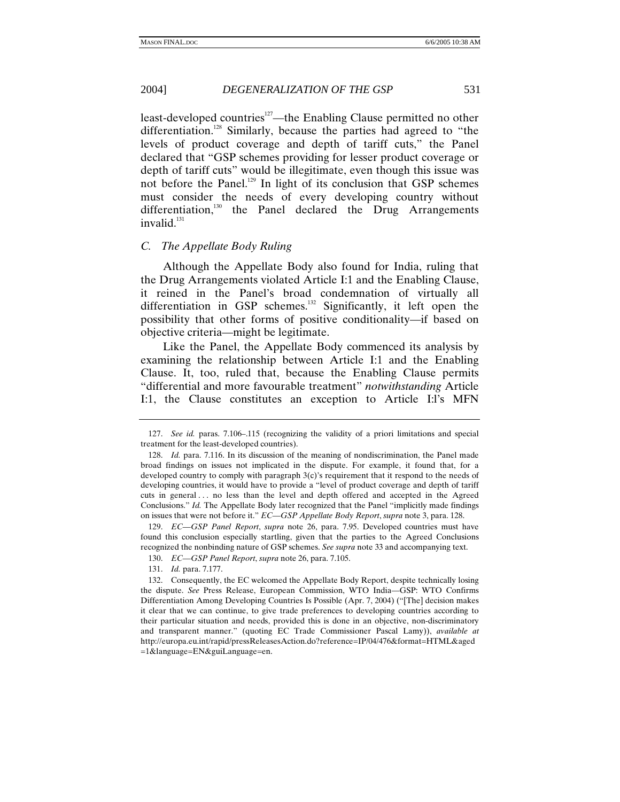least-developed countries<sup>127</sup>—the Enabling Clause permitted no other differentiation.<sup>128</sup> Similarly, because the parties had agreed to "the levels of product coverage and depth of tariff cuts," the Panel declared that "GSP schemes providing for lesser product coverage or depth of tariff cuts" would be illegitimate, even though this issue was not before the Panel.<sup>129</sup> In light of its conclusion that GSP schemes must consider the needs of every developing country without differentiation,<sup>130</sup> the Panel declared the Drug Arrangements  $invalid.<sup>131</sup>$ 

#### *C. The Appellate Body Ruling*

Although the Appellate Body also found for India, ruling that the Drug Arrangements violated Article I:1 and the Enabling Clause, it reined in the Panel's broad condemnation of virtually all differentiation in GSP schemes. $132$  Significantly, it left open the possibility that other forms of positive conditionality—if based on objective criteria—might be legitimate.

Like the Panel, the Appellate Body commenced its analysis by examining the relationship between Article I:1 and the Enabling Clause. It, too, ruled that, because the Enabling Clause permits "differential and more favourable treatment" *notwithstanding* Article I:1, the Clause constitutes an exception to Article I:l's MFN

<sup>127.</sup> *See id.* paras. 7.106–.115 (recognizing the validity of a priori limitations and special treatment for the least-developed countries).

<sup>128.</sup> *Id.* para. 7.116. In its discussion of the meaning of nondiscrimination, the Panel made broad findings on issues not implicated in the dispute. For example, it found that, for a developed country to comply with paragraph 3(c)'s requirement that it respond to the needs of developing countries, it would have to provide a "level of product coverage and depth of tariff cuts in general . . . no less than the level and depth offered and accepted in the Agreed Conclusions." *Id.* The Appellate Body later recognized that the Panel "implicitly made findings on issues that were not before it." *EC—GSP Appellate Body Report*, *supra* note 3, para. 128.

<sup>129.</sup> *EC—GSP Panel Report*, *supra* note 26, para. 7.95. Developed countries must have found this conclusion especially startling, given that the parties to the Agreed Conclusions recognized the nonbinding nature of GSP schemes. *See supra* note 33 and accompanying text.

<sup>130.</sup> *EC—GSP Panel Report*, *supra* note 26, para. 7.105.

<sup>131.</sup> *Id.* para. 7.177.

 <sup>132.</sup> Consequently, the EC welcomed the Appellate Body Report, despite technically losing the dispute. *See* Press Release, European Commission, WTO India—GSP: WTO Confirms Differentiation Among Developing Countries Is Possible (Apr. 7, 2004) ("[The] decision makes it clear that we can continue, to give trade preferences to developing countries according to their particular situation and needs, provided this is done in an objective, non-discriminatory and transparent manner." (quoting EC Trade Commissioner Pascal Lamy)), *available at* http://europa.eu.int/rapid/pressReleasesAction.do?reference=IP/04/476&format=HTML&aged =1&language=EN&guiLanguage=en.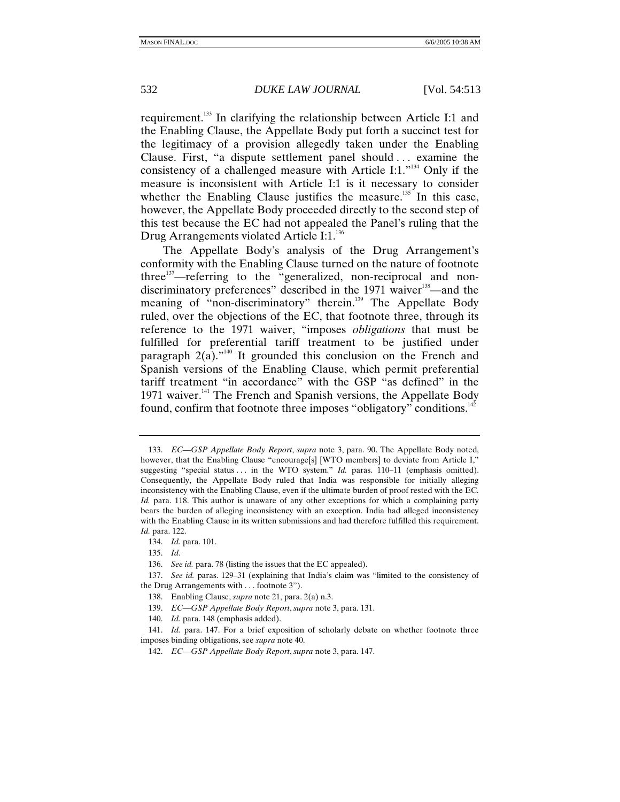requirement.133 In clarifying the relationship between Article I:1 and the Enabling Clause, the Appellate Body put forth a succinct test for the legitimacy of a provision allegedly taken under the Enabling Clause. First, "a dispute settlement panel should . . . examine the consistency of a challenged measure with Article I:1. $^{134}$  Only if the measure is inconsistent with Article I:1 is it necessary to consider whether the Enabling Clause justifies the measure.<sup>135</sup> In this case, however, the Appellate Body proceeded directly to the second step of this test because the EC had not appealed the Panel's ruling that the Drug Arrangements violated Article I:1.<sup>136</sup>

The Appellate Body's analysis of the Drug Arrangement's conformity with the Enabling Clause turned on the nature of footnote three<sup>137</sup>—referring to the "generalized, non-reciprocal and nondiscriminatory preferences" described in the 1971 waiver<sup>138</sup>—and the meaning of "non-discriminatory" therein.<sup>139</sup> The Appellate Body ruled, over the objections of the EC, that footnote three, through its reference to the 1971 waiver, "imposes *obligations* that must be fulfilled for preferential tariff treatment to be justified under paragraph  $2(a)$ ."<sup>140</sup> It grounded this conclusion on the French and Spanish versions of the Enabling Clause, which permit preferential tariff treatment "in accordance" with the GSP "as defined" in the 1971 waiver.<sup>141</sup> The French and Spanish versions, the Appellate Body found, confirm that footnote three imposes "obligatory" conditions.<sup>142</sup>

<sup>133.</sup> *EC—GSP Appellate Body Report*, *supra* note 3, para. 90. The Appellate Body noted, however, that the Enabling Clause "encourage[s] [WTO members] to deviate from Article I," suggesting "special status . . . in the WTO system." *Id.* paras. 110–11 (emphasis omitted). Consequently, the Appellate Body ruled that India was responsible for initially alleging inconsistency with the Enabling Clause, even if the ultimate burden of proof rested with the EC. *Id.* para. 118. This author is unaware of any other exceptions for which a complaining party bears the burden of alleging inconsistency with an exception. India had alleged inconsistency with the Enabling Clause in its written submissions and had therefore fulfilled this requirement. *Id.* para. 122.

<sup>134.</sup> *Id.* para. 101.

<sup>135.</sup> *Id*.

<sup>136.</sup> *See id.* para. 78 (listing the issues that the EC appealed).

<sup>137.</sup> *See id.* paras. 129–31 (explaining that India's claim was "limited to the consistency of the Drug Arrangements with . . . footnote 3").

 <sup>138.</sup> Enabling Clause, *supra* note 21, para. 2(a) n.3.

<sup>139.</sup> *EC—GSP Appellate Body Report*, *supra* note 3, para. 131.

<sup>140.</sup> *Id.* para. 148 (emphasis added).

<sup>141.</sup> *Id.* para. 147. For a brief exposition of scholarly debate on whether footnote three imposes binding obligations, see *supra* note 40.

<sup>142.</sup> *EC—GSP Appellate Body Report*, *supra* note 3, para. 147.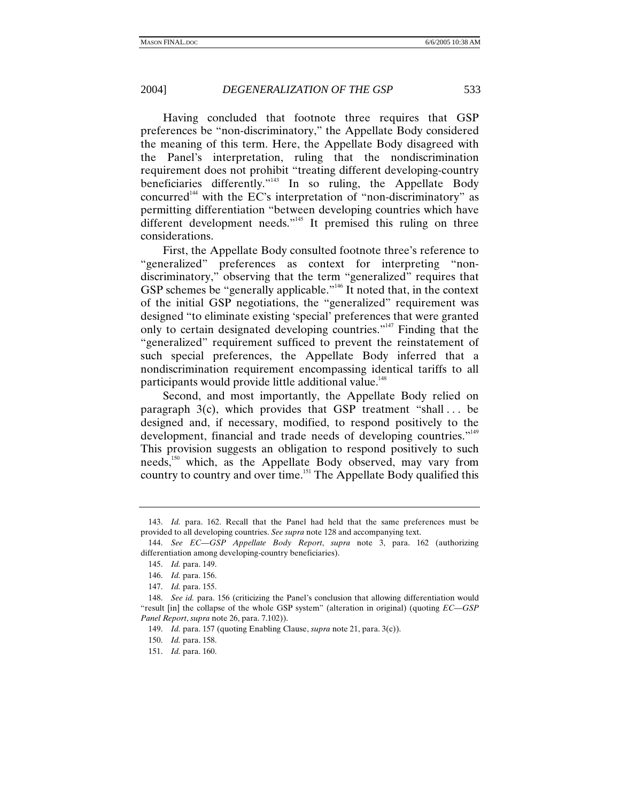Having concluded that footnote three requires that GSP preferences be "non-discriminatory," the Appellate Body considered the meaning of this term. Here, the Appellate Body disagreed with the Panel's interpretation, ruling that the nondiscrimination requirement does not prohibit "treating different developing-country beneficiaries differently."<sup>143</sup> In so ruling, the Appellate Body concurred<sup> $144$ </sup> with the EC's interpretation of "non-discriminatory" as permitting differentiation "between developing countries which have different development needs."<sup>145</sup> It premised this ruling on three considerations.

First, the Appellate Body consulted footnote three's reference to "generalized" preferences as context for interpreting "nondiscriminatory," observing that the term "generalized" requires that GSP schemes be "generally applicable."<sup>146</sup> It noted that, in the context of the initial GSP negotiations, the "generalized" requirement was designed "to eliminate existing 'special' preferences that were granted only to certain designated developing countries."147 Finding that the "generalized" requirement sufficed to prevent the reinstatement of such special preferences, the Appellate Body inferred that a nondiscrimination requirement encompassing identical tariffs to all participants would provide little additional value.<sup>148</sup>

Second, and most importantly, the Appellate Body relied on paragraph  $3(c)$ , which provides that GSP treatment "shall... be designed and, if necessary, modified, to respond positively to the development, financial and trade needs of developing countries."<sup>149</sup> This provision suggests an obligation to respond positively to such needs,<sup>150</sup> which, as the Appellate Body observed, may vary from country to country and over time.<sup>151</sup> The Appellate Body qualified this

<sup>143.</sup> *Id.* para. 162. Recall that the Panel had held that the same preferences must be provided to all developing countries. *See supra* note 128 and accompanying text.

<sup>144.</sup> *See EC—GSP Appellate Body Report*, *supra* note 3, para. 162 (authorizing differentiation among developing-country beneficiaries).

<sup>145.</sup> *Id.* para. 149.

<sup>146.</sup> *Id.* para. 156.

<sup>147.</sup> *Id.* para. 155.

<sup>148.</sup> *See id.* para. 156 (criticizing the Panel's conclusion that allowing differentiation would "result [in] the collapse of the whole GSP system" (alteration in original) (quoting *EC—GSP Panel Report*, *supra* note 26, para. 7.102)).

<sup>149.</sup> *Id.* para. 157 (quoting Enabling Clause, *supra* note 21, para. 3(c)).

<sup>150.</sup> *Id.* para. 158.

<sup>151.</sup> *Id.* para. 160.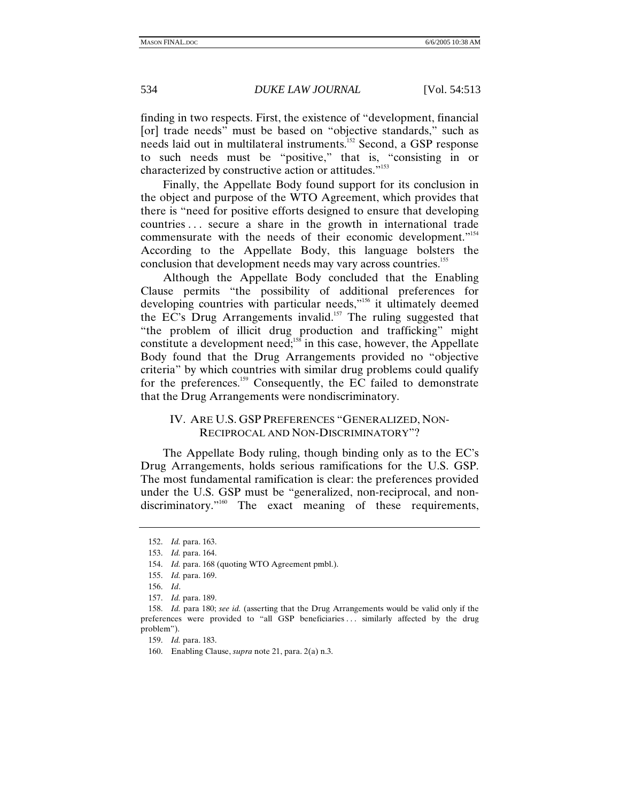finding in two respects. First, the existence of "development, financial [or] trade needs" must be based on "objective standards," such as needs laid out in multilateral instruments.152 Second, a GSP response to such needs must be "positive," that is, "consisting in or characterized by constructive action or attitudes."<sup>153</sup>

Finally, the Appellate Body found support for its conclusion in the object and purpose of the WTO Agreement, which provides that there is "need for positive efforts designed to ensure that developing countries . . . secure a share in the growth in international trade commensurate with the needs of their economic development."<sup>154</sup> According to the Appellate Body, this language bolsters the conclusion that development needs may vary across countries.<sup>155</sup>

Although the Appellate Body concluded that the Enabling Clause permits "the possibility of additional preferences for developing countries with particular needs,"<sup>156</sup> it ultimately deemed the EC's Drug Arrangements invalid.<sup>157</sup> The ruling suggested that "the problem of illicit drug production and trafficking" might constitute a development need;<sup>158</sup> in this case, however, the Appellate Body found that the Drug Arrangements provided no "objective criteria" by which countries with similar drug problems could qualify for the preferences.159 Consequently, the EC failed to demonstrate that the Drug Arrangements were nondiscriminatory.

# IV. ARE U.S. GSP PREFERENCES "GENERALIZED, NON-RECIPROCAL AND NON-DISCRIMINATORY"?

The Appellate Body ruling, though binding only as to the EC's Drug Arrangements, holds serious ramifications for the U.S. GSP. The most fundamental ramification is clear: the preferences provided under the U.S. GSP must be "generalized, non-reciprocal, and nondiscriminatory."<sup>160</sup> The exact meaning of these requirements,

<sup>152.</sup> *Id.* para. 163.

<sup>153.</sup> *Id.* para. 164.

<sup>154.</sup> *Id.* para. 168 (quoting WTO Agreement pmbl.).

<sup>155.</sup> *Id.* para. 169.

<sup>156.</sup> *Id*.

<sup>157.</sup> *Id.* para. 189.

<sup>158.</sup> *Id.* para 180; *see id.* (asserting that the Drug Arrangements would be valid only if the preferences were provided to "all GSP beneficiaries . . . similarly affected by the drug problem").

<sup>159.</sup> *Id.* para. 183.

 <sup>160.</sup> Enabling Clause, *supra* note 21, para. 2(a) n.3.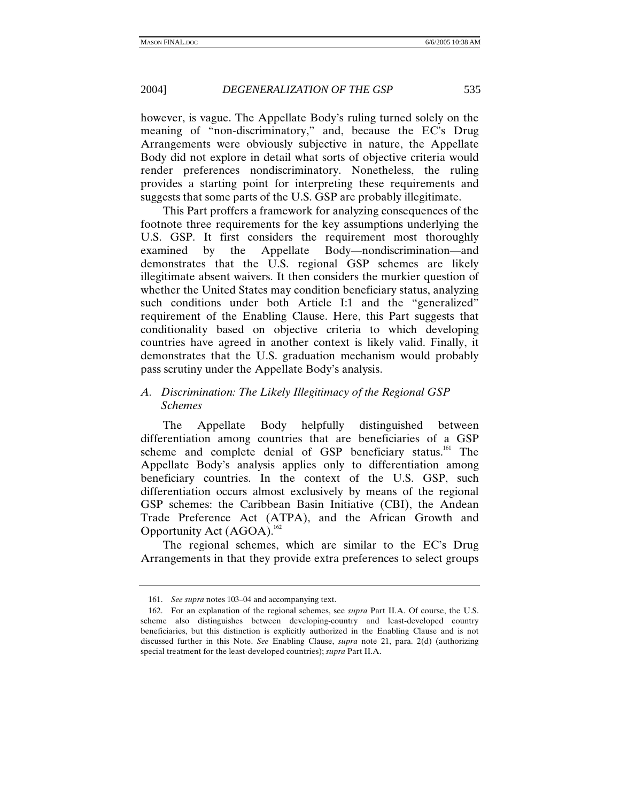however, is vague. The Appellate Body's ruling turned solely on the meaning of "non-discriminatory," and, because the EC's Drug Arrangements were obviously subjective in nature, the Appellate Body did not explore in detail what sorts of objective criteria would render preferences nondiscriminatory. Nonetheless, the ruling provides a starting point for interpreting these requirements and suggests that some parts of the U.S. GSP are probably illegitimate.

This Part proffers a framework for analyzing consequences of the footnote three requirements for the key assumptions underlying the U.S. GSP. It first considers the requirement most thoroughly examined by the Appellate Body—nondiscrimination—and demonstrates that the U.S. regional GSP schemes are likely illegitimate absent waivers. It then considers the murkier question of whether the United States may condition beneficiary status, analyzing such conditions under both Article I:1 and the "generalized" requirement of the Enabling Clause. Here, this Part suggests that conditionality based on objective criteria to which developing countries have agreed in another context is likely valid. Finally, it demonstrates that the U.S. graduation mechanism would probably pass scrutiny under the Appellate Body's analysis.

# *A. Discrimination: The Likely Illegitimacy of the Regional GSP Schemes*

The Appellate Body helpfully distinguished between differentiation among countries that are beneficiaries of a GSP scheme and complete denial of  $GSP$  beneficiary status.<sup>161</sup> The Appellate Body's analysis applies only to differentiation among beneficiary countries. In the context of the U.S. GSP, such differentiation occurs almost exclusively by means of the regional GSP schemes: the Caribbean Basin Initiative (CBI), the Andean Trade Preference Act (ATPA), and the African Growth and Opportunity Act (AGOA).<sup>162</sup>

The regional schemes, which are similar to the EC's Drug Arrangements in that they provide extra preferences to select groups

<sup>161.</sup> *See supra* notes 103–04 and accompanying text.

 <sup>162.</sup> For an explanation of the regional schemes, see *supra* Part II.A. Of course, the U.S. scheme also distinguishes between developing-country and least-developed country beneficiaries, but this distinction is explicitly authorized in the Enabling Clause and is not discussed further in this Note. *See* Enabling Clause, *supra* note 21, para. 2(d) (authorizing special treatment for the least-developed countries); *supra* Part II.A.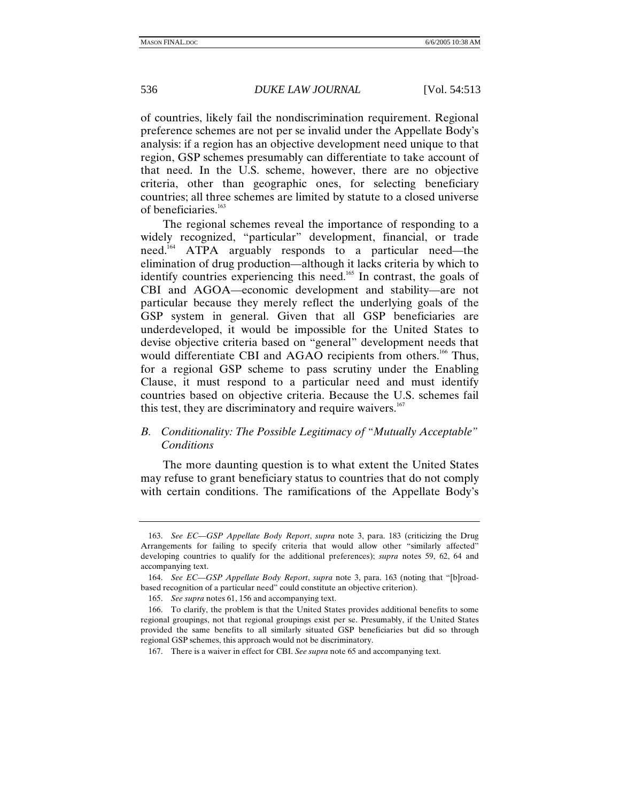of countries, likely fail the nondiscrimination requirement. Regional preference schemes are not per se invalid under the Appellate Body's analysis: if a region has an objective development need unique to that region, GSP schemes presumably can differentiate to take account of that need. In the U.S. scheme, however, there are no objective criteria, other than geographic ones, for selecting beneficiary countries; all three schemes are limited by statute to a closed universe of beneficiaries.163

The regional schemes reveal the importance of responding to a widely recognized, "particular" development, financial, or trade need.<sup>164</sup> ATPA arguably responds to a particular need—the elimination of drug production—although it lacks criteria by which to identify countries experiencing this need.<sup>165</sup> In contrast, the goals of CBI and AGOA—economic development and stability—are not particular because they merely reflect the underlying goals of the GSP system in general. Given that all GSP beneficiaries are underdeveloped, it would be impossible for the United States to devise objective criteria based on "general" development needs that would differentiate CBI and AGAO recipients from others.<sup>166</sup> Thus, for a regional GSP scheme to pass scrutiny under the Enabling Clause, it must respond to a particular need and must identify countries based on objective criteria. Because the U.S. schemes fail this test, they are discriminatory and require waivers. $167$ 

# *B. Conditionality: The Possible Legitimacy of "Mutually Acceptable" Conditions*

The more daunting question is to what extent the United States may refuse to grant beneficiary status to countries that do not comply with certain conditions. The ramifications of the Appellate Body's

<sup>163.</sup> *See EC—GSP Appellate Body Report*, *supra* note 3, para. 183 (criticizing the Drug Arrangements for failing to specify criteria that would allow other "similarly affected" developing countries to qualify for the additional preferences); *supra* notes 59, 62, 64 and accompanying text.

<sup>164.</sup> *See EC—GSP Appellate Body Report*, *supra* note 3, para. 163 (noting that "[b]roadbased recognition of a particular need" could constitute an objective criterion).

<sup>165.</sup> *See supra* notes 61, 156 and accompanying text.

 <sup>166.</sup> To clarify, the problem is that the United States provides additional benefits to some regional groupings, not that regional groupings exist per se. Presumably, if the United States provided the same benefits to all similarly situated GSP beneficiaries but did so through regional GSP schemes, this approach would not be discriminatory.

 <sup>167.</sup> There is a waiver in effect for CBI. *See supra* note 65 and accompanying text.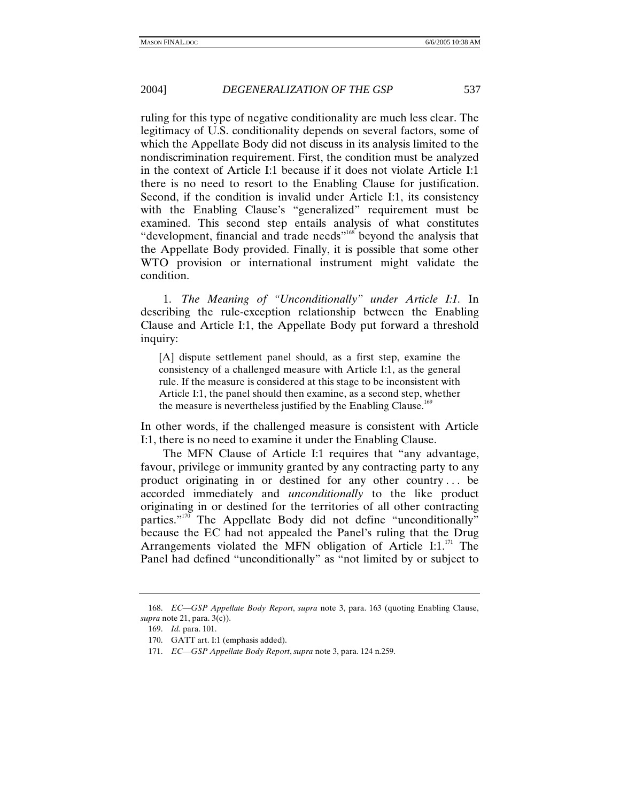ruling for this type of negative conditionality are much less clear. The legitimacy of U.S. conditionality depends on several factors, some of which the Appellate Body did not discuss in its analysis limited to the nondiscrimination requirement. First, the condition must be analyzed in the context of Article I:1 because if it does not violate Article I:1 there is no need to resort to the Enabling Clause for justification. Second, if the condition is invalid under Article I:1, its consistency with the Enabling Clause's "generalized" requirement must be examined. This second step entails analysis of what constitutes "development, financial and trade needs"<sup>168</sup> beyond the analysis that the Appellate Body provided. Finally, it is possible that some other WTO provision or international instrument might validate the condition.

1. *The Meaning of "Unconditionally" under Article I:1.* In describing the rule-exception relationship between the Enabling Clause and Article I:1, the Appellate Body put forward a threshold inquiry:

[A] dispute settlement panel should, as a first step, examine the consistency of a challenged measure with Article I:1, as the general rule. If the measure is considered at this stage to be inconsistent with Article I:1, the panel should then examine, as a second step, whether the measure is nevertheless justified by the Enabling Clause.<sup>169</sup>

In other words, if the challenged measure is consistent with Article I:1, there is no need to examine it under the Enabling Clause.

The MFN Clause of Article I:1 requires that "any advantage, favour, privilege or immunity granted by any contracting party to any product originating in or destined for any other country . . . be accorded immediately and *unconditionally* to the like product originating in or destined for the territories of all other contracting parties."<sup>170</sup> The Appellate Body did not define "unconditionally" because the EC had not appealed the Panel's ruling that the Drug Arrangements violated the MFN obligation of Article I:1. $111$ <sup>71</sup> The Panel had defined "unconditionally" as "not limited by or subject to

<sup>168.</sup> *EC—GSP Appellate Body Report*, *supra* note 3, para. 163 (quoting Enabling Clause, *supra* note 21, para. 3(c)).

<sup>169.</sup> *Id.* para. 101.

 <sup>170.</sup> GATT art. I:1 (emphasis added).

<sup>171.</sup> *EC—GSP Appellate Body Report*, *supra* note 3, para. 124 n.259.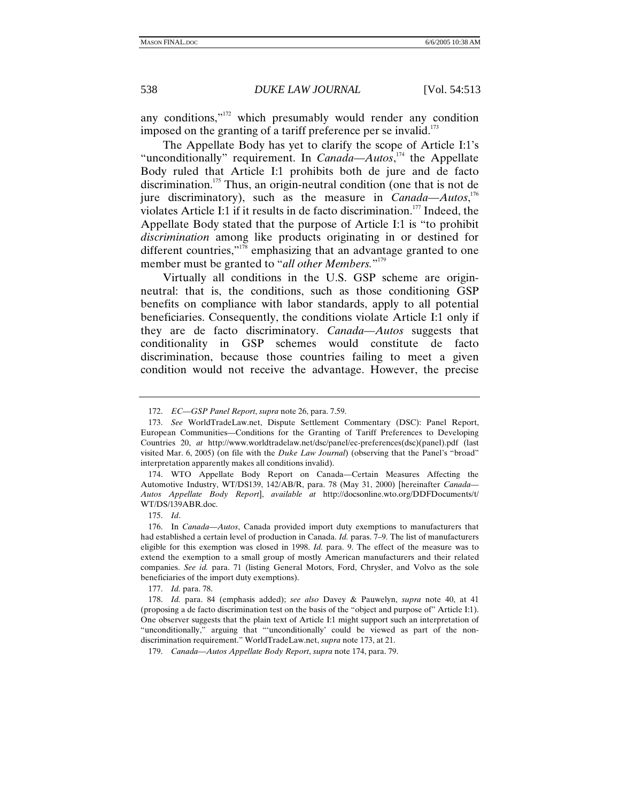any conditions,"172 which presumably would render any condition imposed on the granting of a tariff preference per se invalid. $173$ 

The Appellate Body has yet to clarify the scope of Article I:1's "unconditionally" requirement. In *Canada—Autos*, 174 the Appellate Body ruled that Article I:1 prohibits both de jure and de facto discrimination.175 Thus, an origin-neutral condition (one that is not de jure discriminatory), such as the measure in *Canada—Autos*,<sup>176</sup> violates Article I:1 if it results in de facto discrimination.<sup>177</sup> Indeed, the Appellate Body stated that the purpose of Article I:1 is "to prohibit *discrimination* among like products originating in or destined for different countries," $178$ <sup>o</sup> emphasizing that an advantage granted to one member must be granted to "*all other Members.*" 179

Virtually all conditions in the U.S. GSP scheme are originneutral: that is, the conditions, such as those conditioning GSP benefits on compliance with labor standards, apply to all potential beneficiaries. Consequently, the conditions violate Article I:1 only if they are de facto discriminatory. *Canada—Autos* suggests that conditionality in GSP schemes would constitute de facto discrimination, because those countries failing to meet a given condition would not receive the advantage. However, the precise

<sup>172.</sup> *EC—GSP Panel Report*, *supra* note 26, para. 7.59.

<sup>173.</sup> *See* WorldTradeLaw.net, Dispute Settlement Commentary (DSC): Panel Report, European Communities—Conditions for the Granting of Tariff Preferences to Developing Countries 20, *at* http://www.worldtradelaw.net/dsc/panel/ec-preferences(dsc)(panel).pdf (last visited Mar. 6, 2005) (on file with the *Duke Law Journal*) (observing that the Panel's "broad" interpretation apparently makes all conditions invalid).

 <sup>174.</sup> WTO Appellate Body Report on Canada—Certain Measures Affecting the Automotive Industry, WT/DS139, 142/AB/R, para. 78 (May 31, 2000) [hereinafter *Canada— Autos Appellate Body Report*], *available at* http://docsonline.wto.org/DDFDocuments/t/ WT/DS/139ABR.doc.

<sup>175.</sup> *Id*.

 <sup>176.</sup> In *Canada—Autos*, Canada provided import duty exemptions to manufacturers that had established a certain level of production in Canada. *Id.* paras. 7–9. The list of manufacturers eligible for this exemption was closed in 1998. *Id.* para. 9. The effect of the measure was to extend the exemption to a small group of mostly American manufacturers and their related companies. *See id.* para. 71 (listing General Motors, Ford, Chrysler, and Volvo as the sole beneficiaries of the import duty exemptions).

<sup>177.</sup> *Id.* para. 78.

<sup>178.</sup> *Id.* para. 84 (emphasis added); *see also* Davey & Pauwelyn, *supra* note 40, at 41 (proposing a de facto discrimination test on the basis of the "object and purpose of" Article I:1). One observer suggests that the plain text of Article I:1 might support such an interpretation of "unconditionally," arguing that "'unconditionally' could be viewed as part of the nondiscrimination requirement." WorldTradeLaw.net, *supra* note 173, at 21.

<sup>179.</sup> *Canada—Autos Appellate Body Report*, *supra* note 174, para. 79.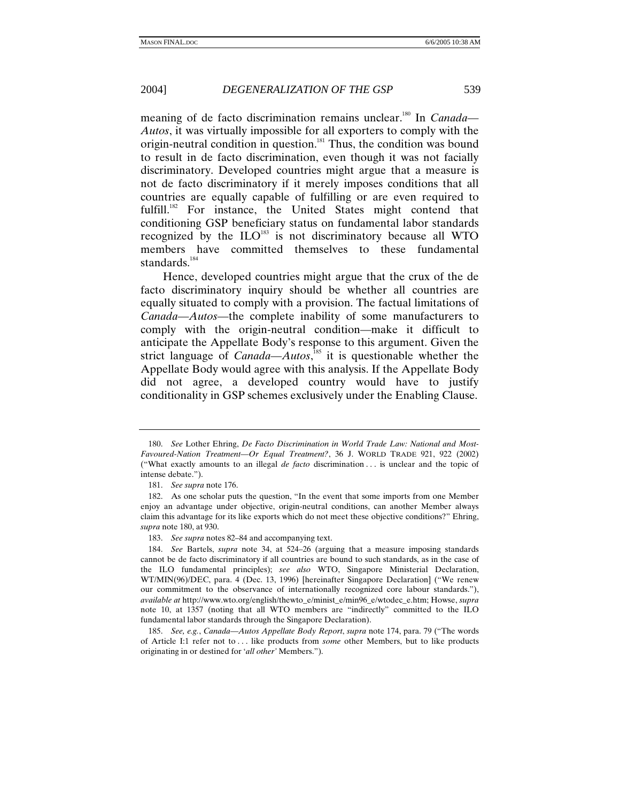meaning of de facto discrimination remains unclear.<sup>180</sup> In *Canada*— *Autos*, it was virtually impossible for all exporters to comply with the origin-neutral condition in question.<sup>181</sup> Thus, the condition was bound to result in de facto discrimination, even though it was not facially discriminatory. Developed countries might argue that a measure is not de facto discriminatory if it merely imposes conditions that all countries are equally capable of fulfilling or are even required to fulfill.<sup>182</sup> For instance, the United States might contend that conditioning GSP beneficiary status on fundamental labor standards recognized by the  $\text{ILO}^{183}$  is not discriminatory because all WTO members have committed themselves to these fundamental standards.<sup>184</sup>

Hence, developed countries might argue that the crux of the de facto discriminatory inquiry should be whether all countries are equally situated to comply with a provision. The factual limitations of *Canada—Autos*—the complete inability of some manufacturers to comply with the origin-neutral condition—make it difficult to anticipate the Appellate Body's response to this argument. Given the strict language of *Canada—Autos*,<sup>185</sup> it is questionable whether the Appellate Body would agree with this analysis. If the Appellate Body did not agree, a developed country would have to justify conditionality in GSP schemes exclusively under the Enabling Clause.

<sup>180.</sup> *See* Lother Ehring, *De Facto Discrimination in World Trade Law: National and Most-Favoured-Nation Treatment—Or Equal Treatment?*, 36 J. WORLD TRADE 921, 922 (2002) ("What exactly amounts to an illegal *de facto* discrimination . . . is unclear and the topic of intense debate.").

<sup>181.</sup> *See supra* note 176.

 <sup>182.</sup> As one scholar puts the question, "In the event that some imports from one Member enjoy an advantage under objective, origin-neutral conditions, can another Member always claim this advantage for its like exports which do not meet these objective conditions?" Ehring, *supra* note 180, at 930.

<sup>183.</sup> *See supra* notes 82–84 and accompanying text.

<sup>184.</sup> *See* Bartels, *supra* note 34, at 524–26 (arguing that a measure imposing standards cannot be de facto discriminatory if all countries are bound to such standards, as in the case of the ILO fundamental principles); *see also* WTO, Singapore Ministerial Declaration, WT/MIN(96)/DEC, para. 4 (Dec. 13, 1996) [hereinafter Singapore Declaration] ("We renew our commitment to the observance of internationally recognized core labour standards."), *available at* http://www.wto.org/english/thewto\_e/minist\_e/min96\_e/wtodec\_e.htm; Howse, *supra*  note 10, at 1357 (noting that all WTO members are "indirectly" committed to the ILO fundamental labor standards through the Singapore Declaration).

<sup>185.</sup> *See, e.g.*, *Canada—Autos Appellate Body Report*, *supra* note 174, para. 79 ("The words of Article I:1 refer not to . . . like products from *some* other Members, but to like products originating in or destined for '*all other'* Members.").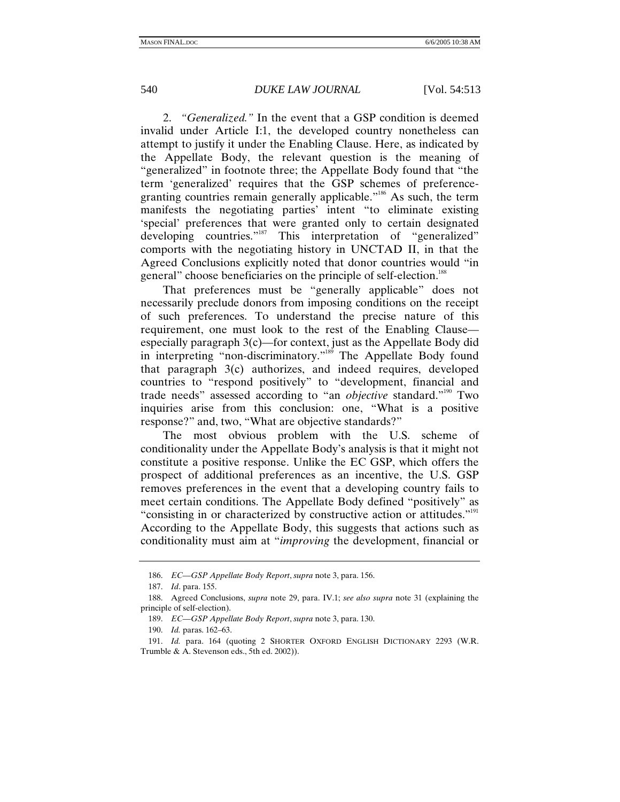2. *"Generalized."* In the event that a GSP condition is deemed invalid under Article I:1, the developed country nonetheless can attempt to justify it under the Enabling Clause. Here, as indicated by the Appellate Body, the relevant question is the meaning of "generalized" in footnote three; the Appellate Body found that "the term 'generalized' requires that the GSP schemes of preferencegranting countries remain generally applicable."<sup>186</sup> As such, the term manifests the negotiating parties' intent "to eliminate existing 'special' preferences that were granted only to certain designated developing countries."<sup>187</sup> This interpretation of "generalized" comports with the negotiating history in UNCTAD II, in that the Agreed Conclusions explicitly noted that donor countries would "in general" choose beneficiaries on the principle of self-election.<sup>188</sup>

That preferences must be "generally applicable" does not necessarily preclude donors from imposing conditions on the receipt of such preferences. To understand the precise nature of this requirement, one must look to the rest of the Enabling Clause especially paragraph 3(c)—for context, just as the Appellate Body did in interpreting "non-discriminatory."<sup>189</sup> The Appellate Body found that paragraph 3(c) authorizes, and indeed requires, developed countries to "respond positively" to "development, financial and trade needs" assessed according to "an *objective* standard."<sup>190</sup> Two inquiries arise from this conclusion: one, "What is a positive response?" and, two, "What are objective standards?"

The most obvious problem with the U.S. scheme of conditionality under the Appellate Body's analysis is that it might not constitute a positive response. Unlike the EC GSP, which offers the prospect of additional preferences as an incentive, the U.S. GSP removes preferences in the event that a developing country fails to meet certain conditions. The Appellate Body defined "positively" as "consisting in or characterized by constructive action or attitudes."<sup>191</sup> According to the Appellate Body, this suggests that actions such as conditionality must aim at "*improving* the development, financial or

<sup>186.</sup> *EC—GSP Appellate Body Report*, *supra* note 3, para. 156.

<sup>187.</sup> *Id*. para. 155.

 <sup>188.</sup> Agreed Conclusions, *supra* note 29, para. IV.1; *see also supra* note 31 (explaining the principle of self-election).

<sup>189.</sup> *EC—GSP Appellate Body Report*, *supra* note 3, para. 130.

<sup>190.</sup> *Id.* paras. 162–63.

<sup>191.</sup> *Id.* para. 164 (quoting 2 SHORTER OXFORD ENGLISH DICTIONARY 2293 (W.R. Trumble & A. Stevenson eds., 5th ed. 2002)).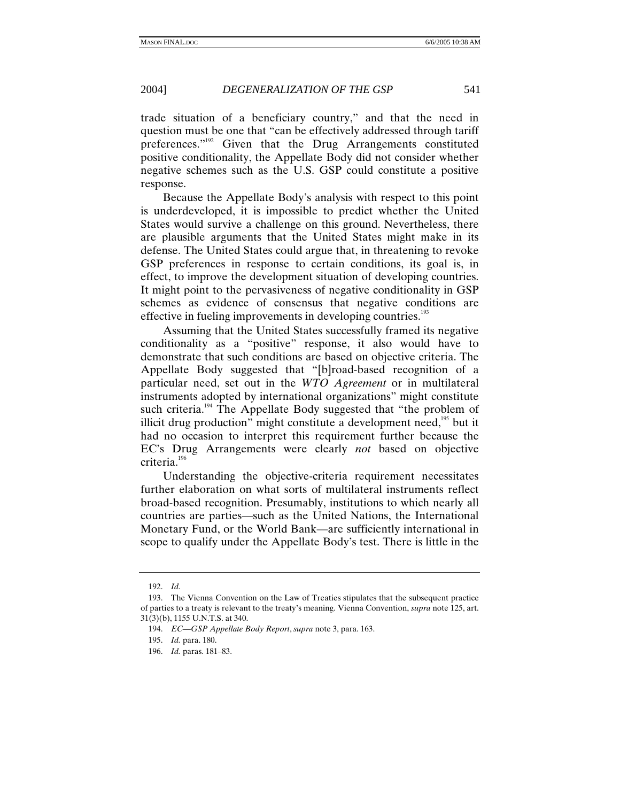trade situation of a beneficiary country," and that the need in question must be one that "can be effectively addressed through tariff preferences."<sup>192</sup> Given that the Drug Arrangements constituted positive conditionality, the Appellate Body did not consider whether negative schemes such as the U.S. GSP could constitute a positive response.

Because the Appellate Body's analysis with respect to this point is underdeveloped, it is impossible to predict whether the United States would survive a challenge on this ground. Nevertheless, there are plausible arguments that the United States might make in its defense. The United States could argue that, in threatening to revoke GSP preferences in response to certain conditions, its goal is, in effect, to improve the development situation of developing countries. It might point to the pervasiveness of negative conditionality in GSP schemes as evidence of consensus that negative conditions are effective in fueling improvements in developing countries.<sup>193</sup>

Assuming that the United States successfully framed its negative conditionality as a "positive" response, it also would have to demonstrate that such conditions are based on objective criteria. The Appellate Body suggested that "[b]road-based recognition of a particular need, set out in the *WTO Agreement* or in multilateral instruments adopted by international organizations" might constitute such criteria.<sup>194</sup> The Appellate Body suggested that "the problem of illicit drug production" might constitute a development need,<sup>195</sup> but it had no occasion to interpret this requirement further because the EC's Drug Arrangements were clearly *not* based on objective criteria.<sup>196</sup>

Understanding the objective-criteria requirement necessitates further elaboration on what sorts of multilateral instruments reflect broad-based recognition. Presumably, institutions to which nearly all countries are parties—such as the United Nations, the International Monetary Fund, or the World Bank—are sufficiently international in scope to qualify under the Appellate Body's test. There is little in the

<sup>192.</sup> *Id*.

 <sup>193.</sup> The Vienna Convention on the Law of Treaties stipulates that the subsequent practice of parties to a treaty is relevant to the treaty's meaning. Vienna Convention, *supra* note 125, art. 31(3)(b), 1155 U.N.T.S. at 340.

<sup>194.</sup> *EC—GSP Appellate Body Report*, *supra* note 3, para. 163.

<sup>195.</sup> *Id.* para. 180.

<sup>196.</sup> *Id.* paras. 181–83.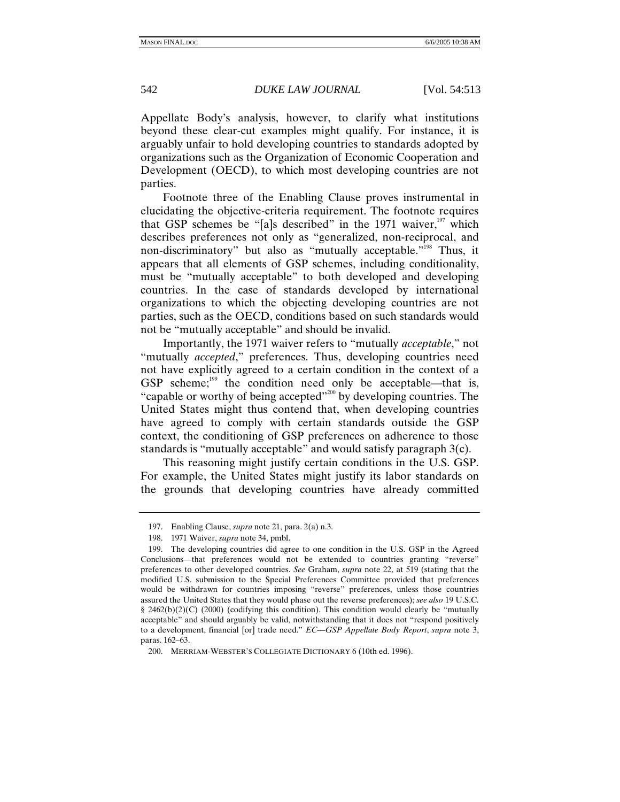Appellate Body's analysis, however, to clarify what institutions beyond these clear-cut examples might qualify. For instance, it is arguably unfair to hold developing countries to standards adopted by organizations such as the Organization of Economic Cooperation and Development (OECD), to which most developing countries are not parties.

Footnote three of the Enabling Clause proves instrumental in elucidating the objective-criteria requirement. The footnote requires that GSP schemes be "[a]s described" in the 1971 waiver, $197$  which describes preferences not only as "generalized, non-reciprocal, and non-discriminatory" but also as "mutually acceptable."<sup>198</sup> Thus, it appears that all elements of GSP schemes, including conditionality, must be "mutually acceptable" to both developed and developing countries. In the case of standards developed by international organizations to which the objecting developing countries are not parties, such as the OECD, conditions based on such standards would not be "mutually acceptable" and should be invalid.

Importantly, the 1971 waiver refers to "mutually *acceptable*," not "mutually *accepted*," preferences. Thus, developing countries need not have explicitly agreed to a certain condition in the context of a GSP scheme; $^{199}$  the condition need only be acceptable—that is, "capable or worthy of being accepted"<sup>200</sup> by developing countries. The United States might thus contend that, when developing countries have agreed to comply with certain standards outside the GSP context, the conditioning of GSP preferences on adherence to those standards is "mutually acceptable" and would satisfy paragraph 3(c).

This reasoning might justify certain conditions in the U.S. GSP. For example, the United States might justify its labor standards on the grounds that developing countries have already committed

 <sup>197.</sup> Enabling Clause, *supra* note 21, para. 2(a) n.3.

 <sup>198. 1971</sup> Waiver, *supra* note 34, pmbl.

 <sup>199.</sup> The developing countries did agree to one condition in the U.S. GSP in the Agreed Conclusions—that preferences would not be extended to countries granting "reverse" preferences to other developed countries. *See* Graham, *supra* note 22, at 519 (stating that the modified U.S. submission to the Special Preferences Committee provided that preferences would be withdrawn for countries imposing "reverse" preferences, unless those countries assured the United States that they would phase out the reverse preferences); *see also* 19 U.S.C. § 2462(b)(2)(C) (2000) (codifying this condition). This condition would clearly be "mutually acceptable" and should arguably be valid, notwithstanding that it does not "respond positively to a development, financial [or] trade need." *EC—GSP Appellate Body Report*, *supra* note 3, paras. 162–63.

 <sup>200.</sup> MERRIAM-WEBSTER'S COLLEGIATE DICTIONARY 6 (10th ed. 1996).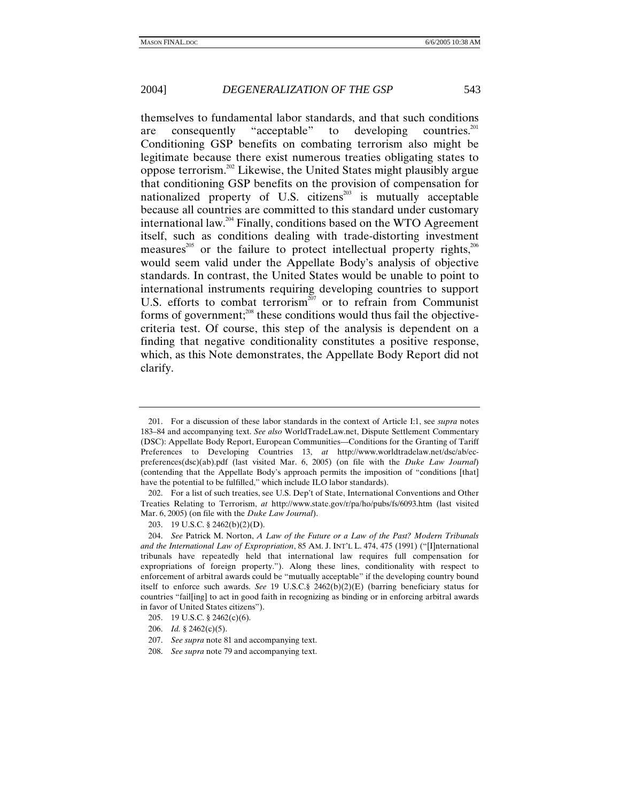themselves to fundamental labor standards, and that such conditions are consequently "acceptable" to developing countries.<sup>201</sup> Conditioning GSP benefits on combating terrorism also might be legitimate because there exist numerous treaties obligating states to oppose terrorism.202 Likewise, the United States might plausibly argue that conditioning GSP benefits on the provision of compensation for nationalized property of U.S. citizens $^{203}$  is mutually acceptable because all countries are committed to this standard under customary international law.204 Finally, conditions based on the WTO Agreement itself, such as conditions dealing with trade-distorting investment measures<sup>205</sup> or the failure to protect intellectual property rights,<sup>206</sup> would seem valid under the Appellate Body's analysis of objective standards. In contrast, the United States would be unable to point to international instruments requiring developing countries to support U.S. efforts to combat terrorism<sup> $207$ </sup> or to refrain from Communist forms of government; $^{208}$  these conditions would thus fail the objectivecriteria test. Of course, this step of the analysis is dependent on a finding that negative conditionality constitutes a positive response, which, as this Note demonstrates, the Appellate Body Report did not clarify.

 <sup>201.</sup> For a discussion of these labor standards in the context of Article I:1, see *supra* notes 183–84 and accompanying text. *See also* WorldTradeLaw.net, Dispute Settlement Commentary (DSC): Appellate Body Report, European Communities—Conditions for the Granting of Tariff Preferences to Developing Countries 13, *at* http://www.worldtradelaw.net/dsc/ab/ecpreferences(dsc)(ab).pdf (last visited Mar. 6, 2005) (on file with the *Duke Law Journal*) (contending that the Appellate Body's approach permits the imposition of "conditions [that] have the potential to be fulfilled," which include ILO labor standards).

 <sup>202.</sup> For a list of such treaties, see U.S. Dep't of State, International Conventions and Other Treaties Relating to Terrorism, *at* http://www.state.gov/r/pa/ho/pubs/fs/6093.htm (last visited Mar. 6, 2005) (on file with the *Duke Law Journal*).

 <sup>203. 19</sup> U.S.C. § 2462(b)(2)(D).

<sup>204.</sup> *See* Patrick M. Norton, *A Law of the Future or a Law of the Past? Modern Tribunals and the International Law of Expropriation*, 85 AM. J. INT'L L. 474, 475 (1991) ("[I]nternational tribunals have repeatedly held that international law requires full compensation for expropriations of foreign property."). Along these lines, conditionality with respect to enforcement of arbitral awards could be "mutually acceptable" if the developing country bound itself to enforce such awards. *See* 19 U.S.C.§ 2462(b)(2)(E) (barring beneficiary status for countries "fail[ing] to act in good faith in recognizing as binding or in enforcing arbitral awards in favor of United States citizens").

 <sup>205. 19</sup> U.S.C. § 2462(c)(6).

<sup>206.</sup> *Id.* § 2462(c)(5).

<sup>207.</sup> *See supra* note 81 and accompanying text.

<sup>208.</sup> *See supra* note 79 and accompanying text.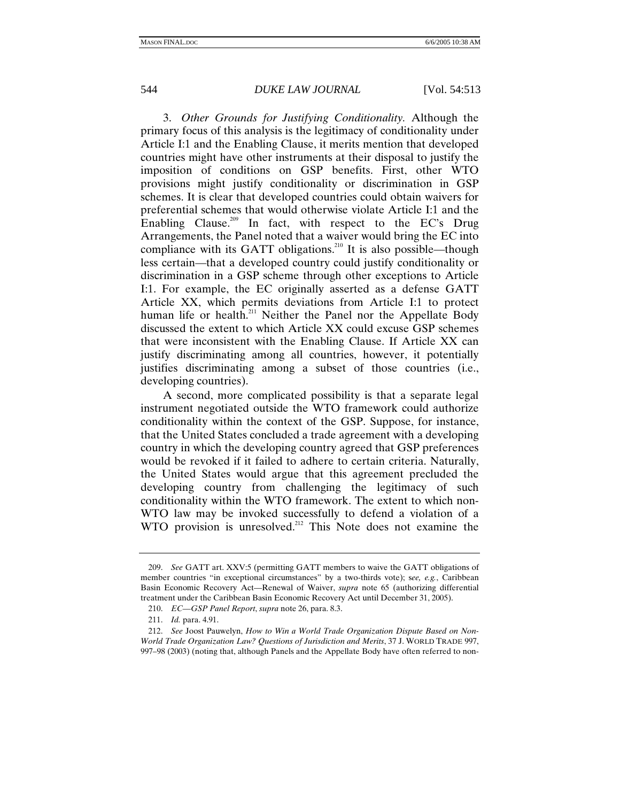3. *Other Grounds for Justifying Conditionality.* Although the primary focus of this analysis is the legitimacy of conditionality under Article I:1 and the Enabling Clause, it merits mention that developed countries might have other instruments at their disposal to justify the imposition of conditions on GSP benefits. First, other WTO provisions might justify conditionality or discrimination in GSP schemes. It is clear that developed countries could obtain waivers for preferential schemes that would otherwise violate Article I:1 and the Enabling Clause.209 In fact, with respect to the EC's Drug Arrangements, the Panel noted that a waiver would bring the EC into compliance with its GATT obligations.<sup>210</sup> It is also possible—though less certain—that a developed country could justify conditionality or discrimination in a GSP scheme through other exceptions to Article I:1. For example, the EC originally asserted as a defense GATT Article XX, which permits deviations from Article I:1 to protect human life or health.<sup>211</sup> Neither the Panel nor the Appellate Body discussed the extent to which Article XX could excuse GSP schemes that were inconsistent with the Enabling Clause. If Article XX can justify discriminating among all countries, however, it potentially justifies discriminating among a subset of those countries (i.e., developing countries).

A second, more complicated possibility is that a separate legal instrument negotiated outside the WTO framework could authorize conditionality within the context of the GSP. Suppose, for instance, that the United States concluded a trade agreement with a developing country in which the developing country agreed that GSP preferences would be revoked if it failed to adhere to certain criteria. Naturally, the United States would argue that this agreement precluded the developing country from challenging the legitimacy of such conditionality within the WTO framework. The extent to which non-WTO law may be invoked successfully to defend a violation of a WTO provision is unresolved.<sup>212</sup> This Note does not examine the

<sup>209.</sup> *See* GATT art. XXV:5 (permitting GATT members to waive the GATT obligations of member countries "in exceptional circumstances" by a two-thirds vote); s*ee, e.g.*, Caribbean Basin Economic Recovery Act—Renewal of Waiver, *supra* note 65 (authorizing differential treatment under the Caribbean Basin Economic Recovery Act until December 31, 2005).

<sup>210.</sup> *EC—GSP Panel Report*, *supra* note 26, para. 8.3.

<sup>211.</sup> *Id.* para. 4.91.

<sup>212.</sup> *See* Joost Pauwelyn, *How to Win a World Trade Organization Dispute Based on Non-World Trade Organization Law? Questions of Jurisdiction and Merits*, 37 J. WORLD TRADE 997, 997–98 (2003) (noting that, although Panels and the Appellate Body have often referred to non-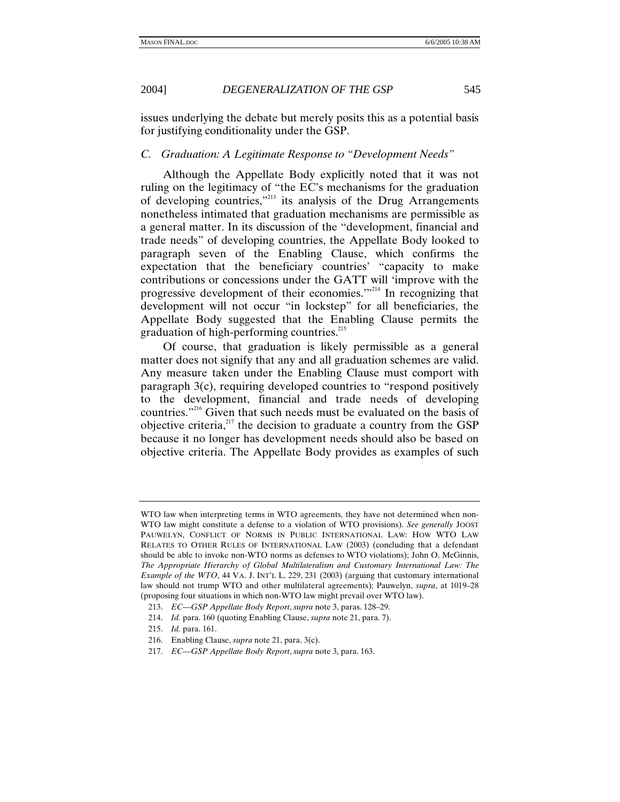issues underlying the debate but merely posits this as a potential basis for justifying conditionality under the GSP.

## *C. Graduation: A Legitimate Response to "Development Needs"*

Although the Appellate Body explicitly noted that it was not ruling on the legitimacy of "the EC's mechanisms for the graduation of developing countries,"213 its analysis of the Drug Arrangements nonetheless intimated that graduation mechanisms are permissible as a general matter. In its discussion of the "development, financial and trade needs" of developing countries, the Appellate Body looked to paragraph seven of the Enabling Clause, which confirms the expectation that the beneficiary countries' "capacity to make contributions or concessions under the GATT will 'improve with the progressive development of their economies.'"214 In recognizing that development will not occur "in lockstep" for all beneficiaries, the Appellate Body suggested that the Enabling Clause permits the graduation of high-performing countries.<sup>215</sup>

Of course, that graduation is likely permissible as a general matter does not signify that any and all graduation schemes are valid. Any measure taken under the Enabling Clause must comport with paragraph 3(c), requiring developed countries to "respond positively to the development, financial and trade needs of developing countries."<sup>216</sup> Given that such needs must be evaluated on the basis of objective criteria, $^{217}$  the decision to graduate a country from the GSP because it no longer has development needs should also be based on objective criteria. The Appellate Body provides as examples of such

WTO law when interpreting terms in WTO agreements, they have not determined when non-WTO law might constitute a defense to a violation of WTO provisions). *See generally* JOOST PAUWELYN, CONFLICT OF NORMS IN PUBLIC INTERNATIONAL LAW: HOW WTO LAW RELATES TO OTHER RULES OF INTERNATIONAL LAW (2003) (concluding that a defendant should be able to invoke non-WTO norms as defenses to WTO violations); John O. McGinnis, *The Appropriate Hierarchy of Global Multilateralism and Customary International Law: The Example of the WTO*, 44 VA. J. INT'L L. 229, 231 (2003) (arguing that customary international law should not trump WTO and other multilateral agreements); Pauwelyn, *supra*, at 1019–28 (proposing four situations in which non-WTO law might prevail over WTO law).

<sup>213.</sup> *EC—GSP Appellate Body Report*, *supra* note 3, paras. 128–29.

<sup>214.</sup> *Id.* para. 160 (quoting Enabling Clause, *supra* note 21, para. 7).

<sup>215.</sup> *Id.* para. 161.

 <sup>216.</sup> Enabling Clause, *supra* note 21, para. 3(c).

<sup>217.</sup> *EC—GSP Appellate Body Report*, *supra* note 3, para. 163.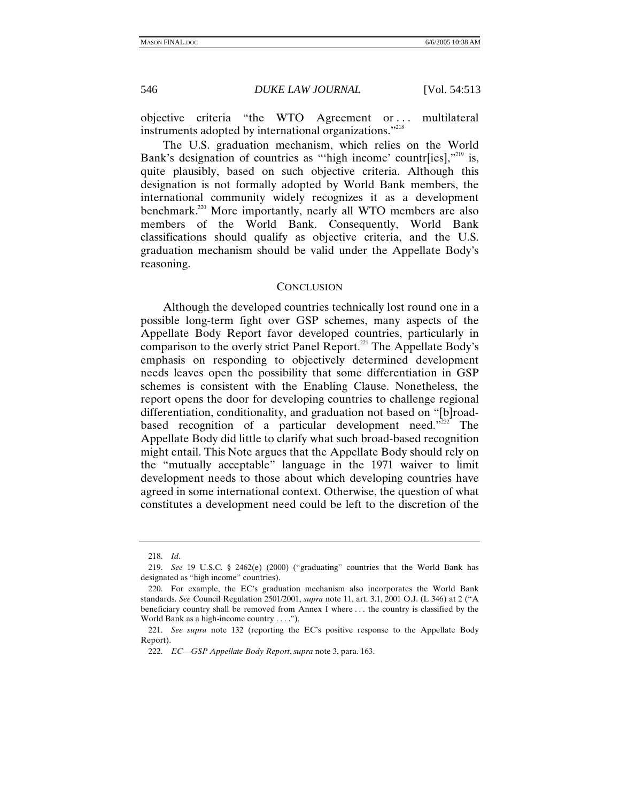objective criteria "the WTO Agreement or ... multilateral instruments adopted by international organizations."<sup>218</sup>

The U.S. graduation mechanism, which relies on the World Bank's designation of countries as "'high income' countr $[ies]$ ,"<sup>219</sup> is, quite plausibly, based on such objective criteria. Although this designation is not formally adopted by World Bank members, the international community widely recognizes it as a development benchmark.<sup>220</sup> More importantly, nearly all WTO members are also members of the World Bank. Consequently, World Bank classifications should qualify as objective criteria, and the U.S. graduation mechanism should be valid under the Appellate Body's reasoning.

#### **CONCLUSION**

Although the developed countries technically lost round one in a possible long-term fight over GSP schemes, many aspects of the Appellate Body Report favor developed countries, particularly in comparison to the overly strict Panel Report.<sup>221</sup> The Appellate Body's emphasis on responding to objectively determined development needs leaves open the possibility that some differentiation in GSP schemes is consistent with the Enabling Clause. Nonetheless, the report opens the door for developing countries to challenge regional differentiation, conditionality, and graduation not based on "[b]roadbased recognition of a particular development need."<sup>222</sup> The Appellate Body did little to clarify what such broad-based recognition might entail. This Note argues that the Appellate Body should rely on the "mutually acceptable" language in the 1971 waiver to limit development needs to those about which developing countries have agreed in some international context. Otherwise, the question of what constitutes a development need could be left to the discretion of the

<sup>218.</sup> *Id*.

<sup>219.</sup> *See* 19 U.S.C. § 2462(e) (2000) ("graduating" countries that the World Bank has designated as "high income" countries).

 <sup>220.</sup> For example, the EC's graduation mechanism also incorporates the World Bank standards. *See* Council Regulation 2501/2001, *supra* note 11, art. 3.1, 2001 O.J. (L 346) at 2 ("A beneficiary country shall be removed from Annex I where . . . the country is classified by the World Bank as a high-income country . . . .").

<sup>221.</sup> *See supra* note 132 (reporting the EC's positive response to the Appellate Body Report).

<sup>222.</sup> *EC—GSP Appellate Body Report*, *supra* note 3, para. 163.